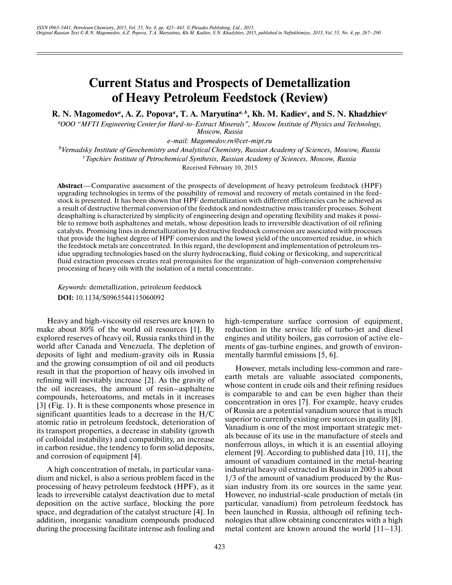# **Current Status and Prospects of Demetallization of Heavy Petroleum Feedstock (Review)**

**R. N. Magomedov***<sup>a</sup>* **, A. Z. Popova***<sup>a</sup>* **, T. A. Maryutina***a, b***, Kh. M. Kadiev***<sup>c</sup>* **, and S. N. Khadzhiev***<sup>c</sup>*

*a OOO "MFTI Engineering Center for Hard-to-Extract Minerals", Moscow Institute of Physics and Technology, Moscow, Russia*

*e-mail: Magomedov.rn@cet-mipt.ru*

*b Vernadsky Institute of Geochemistry and Analytical Chemistry, Russian Academy of Sciences, Moscow, Russia c Topchiev Institute of Petrochemical Synthesis, Russian Academy of Sciences, Moscow, Russia* Received February 10, 2015

**Abstract**—Comparative assessment of the prospects of development of heavy petroleum feedstock (HPF) upgrading technologies in terms of the possibility of removal and recovery of metals contained in the feedstock is presented. It has been shown that HPF demetallization with different efficiencies can be achieved as a result of destructive thermal conversion of the feedstock and nondestructive mass transfer processes. Solvent deasphalting is characterized by simplicity of engineering design and operating flexibility and makes it possi ble to remove both asphaltenes and metals, whose deposition leads to irreversible deactivation of oil refining catalysts. Promising lines in demetallization by destructive feedstock conversion are associated with processes that provide the highest degree of HPF conversion and the lowest yield of the unconverted residue, in which the feedstock metals are concentrated. In this regard, the development and implementation of petroleum res idue upgrading technologies based on the slurry hydrocracking, fluid coking or flexicoking, and supercritical fluid extraction processes creates real prerequisites for the organization of high-conversion comprehensive processing of heavy oils with the isolation of a metal concentrate.

*Keywords:* demetallization, petroleum feedstock **DOI:** 10.1134/S0965544115060092

Heavy and high-viscosity oil reserves are known to make about 80% of the world oil resources [1]. By explored reserves of heavy oil, Russia ranks third in the world after Canada and Venezuela. The depletion of deposits of light and medium-gravity oils in Russia and the growing consumption of oil and oil products result in that the proportion of heavy oils involved in refining will inevitably increase [2]. As the gravity of the oil increases, the amount of resin–asphaltene compounds, heteroatoms, and metals in it increases [3] (Fig. 1). It is these components whose presence in significant quantities leads to a decrease in the H/C atomic ratio in petroleum feedstock, deterioration of its transport properties, a decrease in stability (growth of colloidal instability) and compatibility, an increase in carbon residue, the tendency to form solid deposits, and corrosion of equipment [4].

A high concentration of metals, in particular vana dium and nickel, is also a serious problem faced in the processing of heavy petroleum feedstock (HPF), as it leads to irreversible catalyst deactivation due to metal deposition on the active surface, blocking the pore space, and degradation of the catalyst structure [4]. In addition, inorganic vanadium compounds produced during the processing facilitate intense ash fouling and

high-temperature surface corrosion of equipment, reduction in the service life of turbo-jet and diesel engines and utility boilers, gas corrosion of active ele ments of gas-turbine engines, and growth of environ mentally harmful emissions [5, 6].

However, metals including less-common and rare earth metals are valuable associated components, whose content in crude oils and their refining residues is comparable to and can be even higher than their concentration in ores [7]. For example, heavy crudes of Russia are a potential vanadium source that is much superior to currently existing ore sources in quality [8]. Vanadium is one of the most important strategic met als because of its use in the manufacture of steels and nonferrous alloys, in which it is an essential alloying element [9]. According to published data [10, 11], the amount of vanadium contained in the metal-bearing industrial heavy oil extracted in Russia in 2005 is about 1/3 of the amount of vanadium produced by the Rus sian industry from its ore sources in the same year. However, no industrial-scale production of metals (in particular, vanadium) from petroleum feedstock has been launched in Russia, although oil refining tech nologies that allow obtaining concentrates with a high metal content are known around the world [11–13].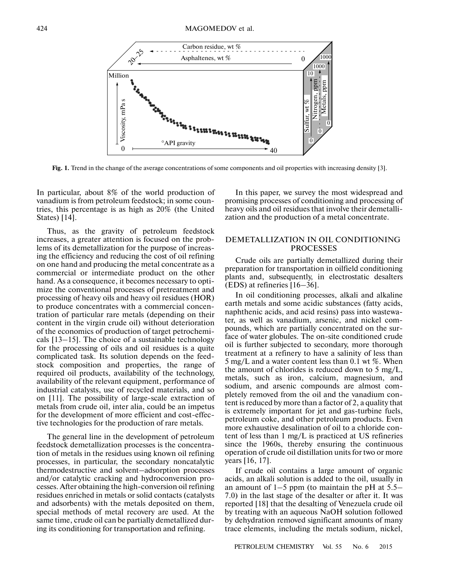

**Fig. 1.** Trend in the change of the average concentrations of some components and oil properties with increasing density [3].

In particular, about 8% of the world production of vanadium is from petroleum feedstock; in some coun tries, this percentage is as high as 20% (the United States) [14].

Thus, as the gravity of petroleum feedstock increases, a greater attention is focused on the prob lems of its demetallization for the purpose of increas ing the efficiency and reducing the cost of oil refining on one hand and producing the metal concentrate as a commercial or intermediate product on the other hand. As a consequence, it becomes necessary to opti mize the conventional processes of pretreatment and processing of heavy oils and heavy oil residues (HOR) to produce concentrates with a commercial concen tration of particular rare metals (depending on their content in the virgin crude oil) without deterioration of the economics of production of target petrochemi cals [13–15]. The choice of a sustainable technology for the processing of oils and oil residues is a quite complicated task. Its solution depends on the feed stock composition and properties, the range of required oil products, availability of the technology, availability of the relevant equipment, performance of industrial catalysts, use of recycled materials, and so on [11]. The possibility of large-scale extraction of metals from crude oil, inter alia, could be an impetus for the development of more efficient and cost-effec tive technologies for the production of rare metals.

The general line in the development of petroleum feedstock demetallization processes is the concentra tion of metals in the residues using known oil refining processes, in particular, the secondary noncatalytic thermodestructive and solvent–adsorption processes and/or catalytic cracking and hydroconversion pro cesses. After obtaining the high-conversion oil refining residues enriched in metals or solid contacts (catalysts and adsorbents) with the metals deposited on them, special methods of metal recovery are used. At the same time, crude oil can be partially demetallized dur ing its conditioning for transportation and refining.

In this paper, we survey the most widespread and promising processes of conditioning and processing of heavy oils and oil residues that involve their demetalli zation and the production of a metal concentrate.

# DEMETALLIZATION IN OIL CONDITIONING PROCESSES

Crude oils are partially demetallized during their preparation for transportation in oilfield conditioning plants and, subsequently, in electrostatic desalters (EDS) at refineries [16–36].

In oil conditioning processes, alkali and alkaline earth metals and some acidic substances (fatty acids, naphthenic acids, and acid resins) pass into wastewa ter, as well as vanadium, arsenic, and nickel com pounds, which are partially concentrated on the sur face of water globules. The on-site conditioned crude oil is further subjected to secondary, more thorough treatment at a refinery to have a salinity of less than 5 mg/L and a water content less than 0.1 wt %. When the amount of chlorides is reduced down to 5 mg/L, metals, such as iron, calcium, magnesium, and sodium, and arsenic compounds are almost com pletely removed from the oil and the vanadium con tent is reduced by more than a factor of 2, a quality that is extremely important for jet and gas-turbine fuels, petroleum coke, and other petroleum products. Even more exhaustive desalination of oil to a chloride con tent of less than 1 mg/L is practiced at US refineries since the 1960s, thereby ensuring the continuous operation of crude oil distillation units for two or more years [16, 17].

If crude oil contains a large amount of organic acids, an alkali solution is added to the oil, usually in an amount of  $1-5$  ppm (to maintain the pH at  $5.5-$ 7.0) in the last stage of the desalter or after it. It was reported [18] that the desalting of Venezuela crude oil by treating with an aqueous NaOH solution followed by dehydration removed significant amounts of many trace elements, including the metals sodium, nickel,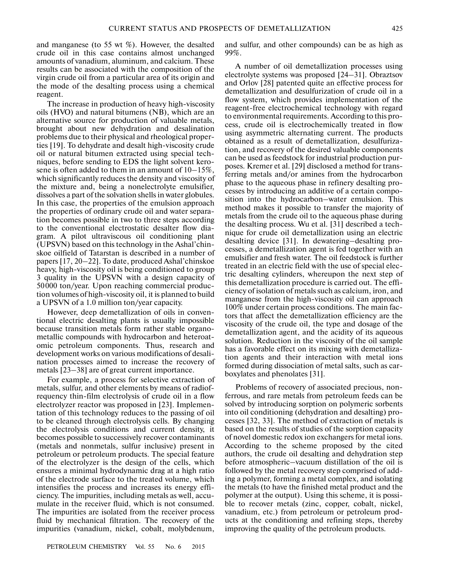and manganese (to 55 wt %). However, the desalted crude oil in this case contains almost unchanged amounts of vanadium, aluminum, and calcium. These results can be associated with the composition of the virgin crude oil from a particular area of its origin and the mode of the desalting process using a chemical reagent.

The increase in production of heavy high-viscosity oils (HVO) and natural bitumens (NB), which are an alternative source for production of valuable metals, brought about new dehydration and desalination problems due to their physical and rheological proper ties [19]. To dehydrate and desalt high-viscosity crude oil or natural bitumen extracted using special tech niques, before sending to EDS the light solvent kero sene is often added to them in an amount of 10–15%, which significantly reduces the density and viscosity of the mixture and, being a nonelectrolyte emulsifier, dissolves a part of the solvation shells in water globules. In this case, the properties of the emulsion approach the properties of ordinary crude oil and water separa tion becomes possible in two to three steps according to the conventional electrostatic desalter flow dia gram. A pilot ultraviscous oil conditioning plant (UPSVN) based on this technology in the Ashal'chin skoe oilfield of Tatarstan is described in a number of papers [17, 20–22]. To date, produced Ashal'chinskoe heavy, high-viscosity oil is being conditioned to group 3 quality in the UPSVN with a design capacity of 50000 ton/year. Upon reaching commercial produc tion volumes of high-viscosity oil, it is planned to build a UPSVN of a 1.0 million ton/year capacity.

However, deep demetallization of oils in conven tional electric desalting plants is usually impossible because transition metals form rather stable organo metallic compounds with hydrocarbon and heteroat omic petroleum components. Thus, research and development works on various modifications of desali nation processes aimed to increase the recovery of metals [23–38] are of great current importance.

For example, a process for selective extraction of metals, sulfur, and other elements by means of radiofrequency thin-film electrolysis of crude oil in a flow electrolyzer reactor was proposed in [23]. Implemen tation of this technology reduces to the passing of oil to be cleaned through electrolysis cells. By changing the electrolysis conditions and current density, it becomes possible to successively recover contaminants (metals and nonmetals, sulfur inclusive) present in petroleum or petroleum products. The special feature of the electrolyzer is the design of the cells, which ensures a minimal hydrodynamic drag at a high ratio of the electrode surface to the treated volume, which intensifies the process and increases its energy effi ciency. The impurities, including metals as well, accu mulate in the receiver fluid, which is not consumed. The impurities are isolated from the receiver process fluid by mechanical filtration. The recovery of the impurities (vanadium, nickel, cobalt, molybdenum, and sulfur, and other compounds) can be as high as 99%.

A number of oil demetallization processes using electrolyte systems was proposed [24–31]. Obraztsov and Orlov [28] patented quite an effective process for demetallization and desulfurization of crude oil in a flow system, which provides implementation of the reagent-free electrochemical technology with regard to environmental requirements. According to this pro cess, crude oil is electrochemically treated in flow using asymmetric alternating current. The products obtained as a result of demetallization, desulfuriza tion, and recovery of the desired valuable components can be used as feedstock for industrial production pur poses. Kremer et al. [29] disclosed a method for trans ferring metals and/or amines from the hydrocarbon phase to the aqueous phase in refinery desalting pro cesses by introducing an additive of a certain compo sition into the hydrocarbon–water emulsion. This method makes it possible to transfer the majority of metals from the crude oil to the aqueous phase during the desalting process. Wu et al. [31] described a tech nique for crude oil demetallization using an electric desalting device [31]. In dewatering–desalting pro cesses, a demetallization agent is fed together with an emulsifier and fresh water. The oil feedstock is further treated in an electric field with the use of special elec tric desalting cylinders, whereupon the next step of this demetallization procedure is carried out. The effi ciency of isolation of metals such as calcium, iron, and manganese from the high-viscosity oil can approach 100% under certain process conditions. The main fac tors that affect the demetallization efficiency are the viscosity of the crude oil, the type and dosage of the demetallization agent, and the acidity of its aqueous solution. Reduction in the viscosity of the oil sample has a favorable effect on its mixing with demetalliza tion agents and their interaction with metal ions formed during dissociation of metal salts, such as car boxylates and phenolates [31].

Problems of recovery of associated precious, non ferrous, and rare metals from petroleum feeds can be solved by introducing sorption on polymeric sorbents into oil conditioning (dehydration and desalting) pro cesses [32, 33]. The method of extraction of metals is based on the results of studies of the sorption capacity of novel domestic redox ion exchangers for metal ions. According to the scheme proposed by the cited authors, the crude oil desalting and dehydration step before atmospheric–vacuum distillation of the oil is followed by the metal recovery step comprised of add ing a polymer, forming a metal complex, and isolating the metals (to have the finished metal product and the polymer at the output). Using this scheme, it is possi ble to recover metals (zinc, copper, cobalt, nickel, vanadium, etc.) from petroleum or petroleum prod ucts at the conditioning and refining steps, thereby improving the quality of the petroleum products.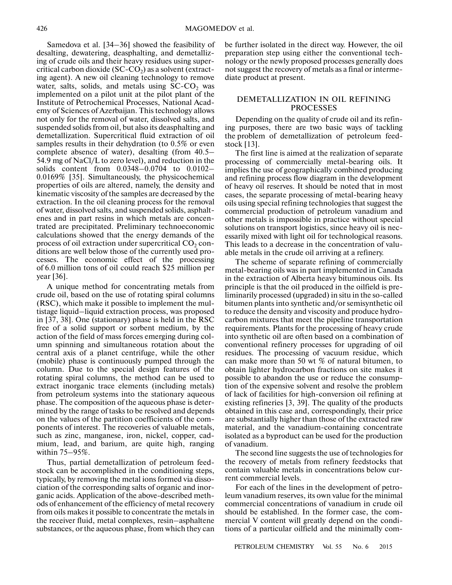Samedova et al. [34–36] showed the feasibility of desalting, dewatering, deasphalting, and demetalliz ing of crude oils and their heavy residues using super critical carbon dioxide  $(SC$ - $CO<sub>2</sub>)$  as a solvent (extracting agent). A new oil cleaning technology to remove water, salts, solids, and metals using  $SC$ - $CO<sub>2</sub>$  was implemented on a pilot unit at the pilot plant of the Institute of Petrochemical Processes, National Acad emy of Sciences of Azerbaijan. This technology allows not only for the removal of water, dissolved salts, and suspended solids from oil, but also its deasphalting and demetallization. Supercritical fluid extraction of oil samples results in their dehydration (to 0.5% or even complete absence of water), desalting (from 40.5– 54.9 mg of NaCl/L to zero level), and reduction in the solids content from 0.0348–0.0704 to 0.0102– 0.0169% [35]. Simultaneously, the physicochemical properties of oils are altered, namely, the density and kinematic viscosity of the samples are decreased by the extraction. In the oil cleaning process for the removal of water, dissolved salts, and suspended solids, asphalt enes and in part resins in which metals are concen trated are precipitated. Preliminary technoeconomic calculations showed that the energy demands of the process of oil extraction under supercritical  $\mathrm{CO}_2$  conditions are well below those of the currently used pro cesses. The economic effect of the processing of 6.0 million tons of oil could reach \$25 million per year [36].

A unique method for concentrating metals from crude oil, based on the use of rotating spiral columns (RSC), which make it possible to implement the mul tistage liquid–liquid extraction process, was proposed in [37, 38]. One (stationary) phase is held in the RSC free of a solid support or sorbent medium, by the action of the field of mass forces emerging during col umn spinning and simultaneous rotation about the central axis of a planet centrifuge, while the other (mobile) phase is continuously pumped through the column. Due to the special design features of the rotating spiral columns, the method can be used to extract inorganic trace elements (including metals) from petroleum systems into the stationary aqueous phase. The composition of the aqueous phase is deter mined by the range of tasks to be resolved and depends on the values of the partition coefficients of the com ponents of interest. The recoveries of valuable metals, such as zinc, manganese, iron, nickel, copper, cad mium, lead, and barium, are quite high, ranging within 75–95%.

Thus, partial demetallization of petroleum feed stock can be accomplished in the conditioning steps, typically, by removing the metal ions formed via disso ciation of the corresponding salts of organic and inor ganic acids. Application of the above-described meth ods of enhancement of the efficiency of metal recovery from oils makes it possible to concentrate the metals in the receiver fluid, metal complexes, resin–asphaltene substances, or the aqueous phase, from which they can be further isolated in the direct way. However, the oil preparation step using either the conventional tech nology or the newly proposed processes generally does not suggest the recovery of metals as a final or interme diate product at present.

## DEMETALLIZATION IN OIL REFINING PROCESSES

Depending on the quality of crude oil and its refin ing purposes, there are two basic ways of tackling the problem of demetallization of petroleum feed stock [13].

The first line is aimed at the realization of separate processing of commercially metal-bearing oils. It implies the use of geographically combined producing and refining process flow diagram in the development of heavy oil reserves. It should be noted that in most cases, the separate processing of metal-bearing heavy oils using special refining technologies that suggest the commercial production of petroleum vanadium and other metals is impossible in practice without special solutions on transport logistics, since heavy oil is nec essarily mixed with light oil for technological reasons. This leads to a decrease in the concentration of valu able metals in the crude oil arriving at a refinery.

The scheme of separate refining of commercially metal-bearing oils was in part implemented in Canada in the extraction of Alberta heavy bituminous oils. Its principle is that the oil produced in the oilfield is pre liminarily processed (upgraded) in situ in the so-called bitumen plants into synthetic and/or semisynthetic oil to reduce the density and viscosity and produce hydro carbon mixtures that meet the pipeline transportation requirements. Plants for the processing of heavy crude into synthetic oil are often based on a combination of conventional refinery processes for upgrading of oil residues. The processing of vacuum residue, which can make more than 50 wt % of natural bitumen, to obtain lighter hydrocarbon fractions on site makes it possible to abandon the use or reduce the consump tion of the expensive solvent and resolve the problem of lack of facilities for high-conversion oil refining at existing refineries [3, 39]. The quality of the products obtained in this case and, correspondingly, their price are substantially higher than those of the extracted raw material, and the vanadium-containing concentrate isolated as a byproduct can be used for the production of vanadium.

The second line suggests the use of technologies for the recovery of metals from refinery feedstocks that contain valuable metals in concentrations below cur rent commercial levels.

For each of the lines in the development of petro leum vanadium reserves, its own value for the minimal commercial concentrations of vanadium in crude oil should be established. In the former case, the com mercial V content will greatly depend on the condi tions of a particular oilfield and the minimally com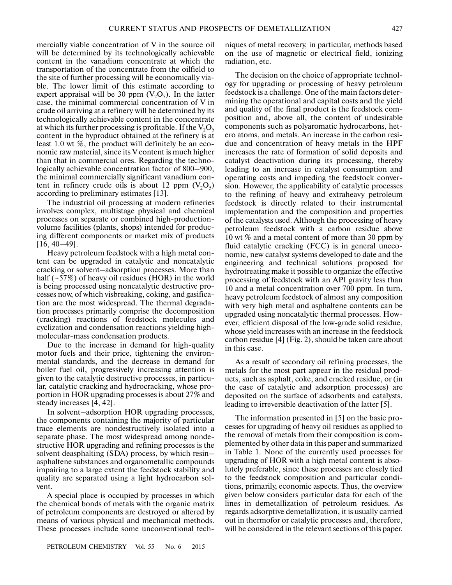mercially viable concentration of V in the source oil will be determined by its technologically achievable content in the vanadium concentrate at which the transportation of the concentrate from the oilfield to the site of further processing will be economically via ble. The lower limit of this estimate according to expert appraisal will be 30 ppm  $(V_2O_5)$ . In the latter case, the minimal commercial concentration of V in crude oil arriving at a refinery will be determined by its technologically achievable content in the concentrate at which its further processing is profitable. If the  $V_2O_5$ content in the byproduct obtained at the refinery is at least 1.0 wt %, the product will definitely be an eco nomic raw material, since its V content is much higher than that in commercial ores. Regarding the techno logically achievable concentration factor of 800–900, the minimal commercially significant vanadium con tent in refinery crude oils is about 12 ppm  $(V_2O_5)$ according to preliminary estimates [13].

The industrial oil processing at modern refineries involves complex, multistage physical and chemical processes on separate or combined high-production volume facilities (plants, shops) intended for produc ing different components or market mix of products [16, 40–49].

Heavy petroleum feedstock with a high metal con tent can be upgraded in catalytic and noncatalytic cracking or solvent–adsorption processes. More than half ( $\sim$ 57%) of heavy oil residues (HOR) in the world is being processed using noncatalytic destructive pro cesses now, of which visbreaking, coking, and gasifica tion are the most widespread. The thermal degrada tion processes primarily comprise the decomposition (cracking) reactions of feedstock molecules and cyclization and condensation reactions yielding high molecular-mass condensation products.

Due to the increase in demand for high-quality motor fuels and their price, tightening the environ mental standards, and the decrease in demand for boiler fuel oil, progressively increasing attention is given to the catalytic destructive processes, in particu lar, catalytic cracking and hydrocracking, whose pro portion in HOR upgrading processes is about 27% and steady increases [4, 42].

In solvent–adsorption HOR upgrading processes, the components containing the majority of particular trace elements are nondestructively isolated into a separate phase. The most widespread among nonde structive HOR upgrading and refining processes is the solvent deasphalting (SDA) process, by which resin– asphaltene substances and organometallic compounds impairing to a large extent the feedstock stability and quality are separated using a light hydrocarbon sol vent.

A special place is occupied by processes in which the chemical bonds of metals with the organic matrix of petroleum components are destroyed or altered by means of various physical and mechanical methods. These processes include some unconventional tech-

niques of metal recovery, in particular, methods based on the use of magnetic or electrical field, ionizing radiation, etc.

The decision on the choice of appropriate technol ogy for upgrading or processing of heavy petroleum feedstock is a challenge. One of the main factors deter mining the operational and capital costs and the yield and quality of the final product is the feedstock com position and, above all, the content of undesirable components such as polyaromatic hydrocarbons, het ero atoms, and metals. An increase in the carbon resi due and concentration of heavy metals in the HPF increases the rate of formation of solid deposits and catalyst deactivation during its processing, thereby leading to an increase in catalyst consumption and operating costs and impeding the feedstock conver sion. However, the applicability of catalytic processes to the refining of heavy and extraheavy petroleum feedstock is directly related to their instrumental implementation and the composition and properties of the catalysts used. Although the processing of heavy petroleum feedstock with a carbon residue above 10 wt % and a metal content of more than 30 ppm by fluid catalytic cracking (FCC) is in general uneco nomic, new catalyst systems developed to date and the engineering and technical solutions proposed for hydrotreating make it possible to organize the effective processing of feedstock with an API gravity less than 10 and a metal concentration over 700 ppm. In turn, heavy petroleum feedstock of almost any composition with very high metal and asphaltene contents can be upgraded using noncatalytic thermal processes. How ever, efficient disposal of the low-grade solid residue, whose yield increases with an increase in the feedstock carbon residue [4] (Fig. 2), should be taken care about in this case.

As a result of secondary oil refining processes, the metals for the most part appear in the residual prod ucts, such as asphalt, coke, and cracked residue, or (in the case of catalytic and adsorption processes) are deposited on the surface of adsorbents and catalysts, leading to irreversible deactivation of the latter [5].

The information presented in [5] on the basic pro cesses for upgrading of heavy oil residues as applied to the removal of metals from their composition is com plemented by other data in this paper and summarized in Table 1. None of the currently used processes for upgrading of HOR with a high metal content is abso lutely preferable, since these processes are closely tied to the feedstock composition and particular conditions, primarily, economic aspects. Thus, the overview given below considers particular data for each of the lines in demetallization of petroleum residues. As regards adsorptive demetallization, it is usually carried out in thermofor or catalytic processes and, therefore, will be considered in the relevant sections of this paper.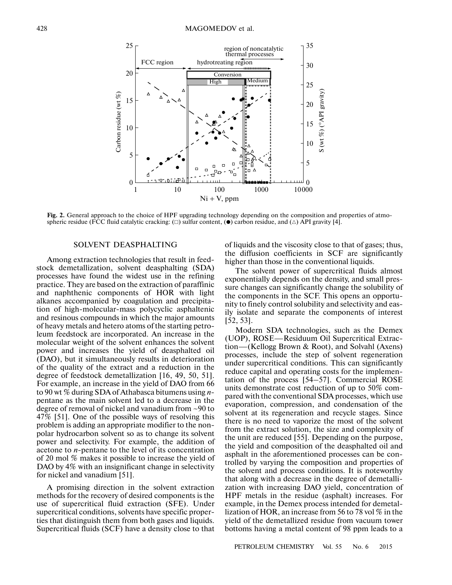

**Fig. 2.** General approach to the choice of HPF upgrading technology depending on the composition and properties of atmo spheric residue (FCC fluid catalytic cracking:  $(\Box)$  sulfur content, ( $\bullet$ ) carbon residue, and  $(\triangle)$  API gravity [4].

## SOLVENT DEASPHALTING

Among extraction technologies that result in feed stock demetallization, solvent deasphalting (SDA) processes have found the widest use in the refining practice. They are based on the extraction of paraffinic and naphthenic components of HOR with light alkanes accompanied by coagulation and precipita tion of high-molecular-mass polycyclic asphaltenic and resinous compounds in which the major amounts of heavy metals and hetero atoms of the starting petro leum feedstock are incorporated. An increase in the molecular weight of the solvent enhances the solvent power and increases the yield of deasphalted oil (DAO), but it simultaneously results in deterioration of the quality of the extract and a reduction in the degree of feedstock demetallization [16, 49, 50, 51]. For example, an increase in the yield of DAO from 66 to 90 wt % during SDA of Athabasca bitumens using *n* pentane as the main solvent led to a decrease in the degree of removal of nickel and vanadium from ~90 to 47% [51]. One of the possible ways of resolving this problem is adding an appropriate modifier to the non polar hydrocarbon solvent so as to change its solvent power and selectivity. For example, the addition of acetone to *n*-pentane to the level of its concentration of 20 mol % makes it possible to increase the yield of DAO by 4% with an insignificant change in selectivity for nickel and vanadium [51].

A promising direction in the solvent extraction methods for the recovery of desired components is the use of supercritical fluid extraction (SFE). Under supercritical conditions, solvents have specific proper ties that distinguish them from both gases and liquids. Supercritical fluids (SCF) have a density close to that of liquids and the viscosity close to that of gases; thus, the diffusion coefficients in SCF are significantly higher than those in the conventional liquids.

The solvent power of supercritical fluids almost exponentially depends on the density, and small pres sure changes can significantly change the solubility of the components in the SCF. This opens an opportu nity to finely control solubility and selectivity and eas ily isolate and separate the components of interest [52, 53].

Modern SDA technologies, such as the Demex (UOP), ROSE—Residuum Oil Supercritical Extrac tion—(Kellogg Brown & Root), and Solvahl (Axens) processes, include the step of solvent regeneration under supercritical conditions. This can significantly reduce capital and operating costs for the implemen tation of the process [54–57]. Commercial ROSE units demonstrate cost reduction of up to 50% com pared with the conventional SDA processes, which use evaporation, compression, and condensation of the solvent at its regeneration and recycle stages. Since there is no need to vaporize the most of the solvent from the extract solution, the size and complexity of the unit are reduced [55]. Depending on the purpose, the yield and composition of the deasphalted oil and asphalt in the aforementioned processes can be con trolled by varying the composition and properties of the solvent and process conditions. It is noteworthy that along with a decrease in the degree of demetalli zation with increasing DAO yield, concentration of HPF metals in the residue (asphalt) increases. For example, in the Demex process intended for demetal lization of HOR, an increase from 56 to 78 vol % in the yield of the demetallized residue from vacuum tower bottoms having a metal content of 98 ppm leads to a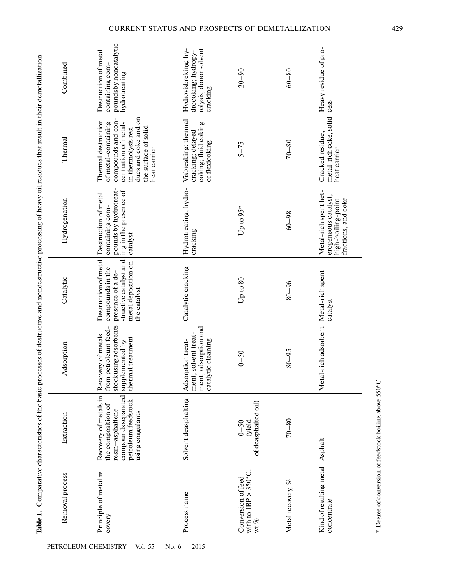| Comparative characteristics of the basic processes of destructive and nondestructive processing of heavy oil residues that result in their demetallization | Combined<br>Thermal | pounds by noncatalytic<br>Destruction of metal-<br>containing com-<br>hydrotreating<br>dues and coke and on<br>compounds and con-<br>Thermal destruction<br>centration of metals<br>of metal-containing<br>in thermolysis resi-<br>the surface of solid<br>heat carrier | Hydrovisbreking; hy-<br>rolysis; donor solvent<br>drocoking; hydropy-<br>cracking<br>Visbreaking; thermal<br>coking; fluid coking<br>cracking; delayed<br>or flexicoking | $20 - 90$<br>$5 - 75$                              | $60 - 80$<br>$70 - 80$ | Heavy residue of pro-<br>cess<br>metal-rich coke, solid<br>Cracked residue,<br>heat carrier |
|------------------------------------------------------------------------------------------------------------------------------------------------------------|---------------------|-------------------------------------------------------------------------------------------------------------------------------------------------------------------------------------------------------------------------------------------------------------------------|--------------------------------------------------------------------------------------------------------------------------------------------------------------------------|----------------------------------------------------|------------------------|---------------------------------------------------------------------------------------------|
|                                                                                                                                                            | Hydrogenation       | pounds by hydrotreat-<br>Destruction of metal-<br>ing in the presence of<br>containing com-<br>catalyst                                                                                                                                                                 | Hydrotreating; hydro-<br>cracking                                                                                                                                        | Up to 95*                                          | $60 - 98$              | Metal-rich spent het-<br>erogeneous catalyst,<br>fractions, and coke<br>high-boiling-point  |
|                                                                                                                                                            | Catalytic           | structive catalyst and<br>Destruction of metal<br>metal deposition on<br>compounds in the<br>presence of a de-<br>the catalyst                                                                                                                                          | Catalytic cracking                                                                                                                                                       | Up to 80                                           | $80 - 96$              | Metal-rich spent<br>catalyst                                                                |
|                                                                                                                                                            | Adsorption          | stock using adsorbents<br>from petroleum feed-<br>Recovery of metals<br>thermal treatment<br>supplemented by                                                                                                                                                            | adsorption and<br>solvent treat-<br>Adsorption treat-<br>catalytic cleaning<br>ment;<br>ment;                                                                            | $0 - 50$                                           | $80 - 95$              | Metal-rich adsorbent                                                                        |
|                                                                                                                                                            | Extraction          | Recovery of metals in<br>compounds separated<br>petroleum feedstock<br>the composition of<br>resin-asphaltene<br>using coagulants                                                                                                                                       | Solvent deasphalting                                                                                                                                                     | of deasphalted oil)<br>(yield<br>$0 - 50$          | $70 - 80$              | Asphalt                                                                                     |
| Table 1.                                                                                                                                                   | Removal process     | Principle of metal re-<br>covery                                                                                                                                                                                                                                        | Process name                                                                                                                                                             | with to IBP > 350°C,<br>Conversion of feed<br>wt % | Metal recovery, %      | Kind of resulting metal<br>concentrate                                                      |

PETROLEUM CHEMISTRY Vol. 55 No. 6 2015

\* Degree of conversion of feedstock boiling above 550°C. \* Degree of conversion of feedstock boiling above 550°C.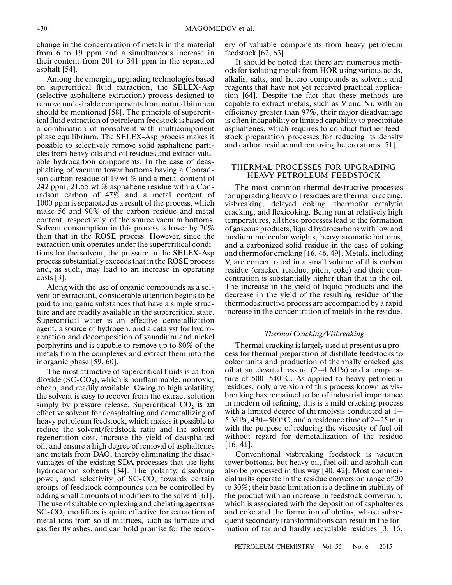change in the concentration of metals in the material from 6 to 19 ppm and a simultaneous increase in their content from 201 to 341 ppm in the separated asphalt [54].

Among the emerging upgrading technologies based on supercritical fluid extraction, the SELEX-Asp (selective asphaltene extraction) process designed to remove undesirable components from natural bitumen should be mentioned [58]. The principle of supercrit ical fluid extraction of petroleum feedstock is based on a combination of nonsolvent with multicomponent phase equilibrium. The SELEX-Asp process makes it possible to selectively remove solid asphaltene parti cles from heavy oils and oil residues and extract valu able hydrocarbon components. In the case of deas phalting of vacuum tower bottoms having a Conrad son carbon residue of 19 wt % and a metal content of 242 ppm, 21.55 wt % asphaltene residue with a Con radson carbon of 47% and a metal content of 1000 ppm is separated as a result of the process, which make 56 and 90% of the carbon residue and metal content, respectively, of the source vacuum bottoms. Solvent consumption in this process is lower by 20% than that in the ROSE process. However, since the extraction unit operates under the supercritical condi tions for the solvent, the pressure in the SELEX-Asp process substantially exceeds that in the ROSE process and, as such, may lead to an increase in operating costs [3].

Along with the use of organic compounds as a sol vent or extractant, considerable attention begins to be paid to inorganic substances that have a simple struc ture and are readily available in the supercritical state. Supercritical water is an effective demetallization agent, a source of hydrogen, and a catalyst for hydro genation and decomposition of vanadium and nickel porphyrins and is capable to remove up to 80% of the metals from the complexes and extract them into the inorganic phase [59, 60].

The most attractive of supercritical fluids is carbon dioxide  $(SC$ - $CO<sub>2</sub>$ ), which is nonflammable, nontoxic, cheap, and readily available. Owing to high volatility, the solvent is easy to recover from the extract solution simply by pressure release. Supercritical  $CO<sub>2</sub>$  is an effective solvent for deasphalting and demetallizing of heavy petroleum feedstock, which makes it possible to reduce the solvent/feedstock ratio and the solvent regeneration cost, increase the yield of deasphalted oil, and ensure a high degree of removal of asphaltenes and metals from DAO, thereby eliminating the disad vantages of the existing SDA processes that use light hydrocarbon solvents [34]. The polarity, dissolving power, and selectivity of  $SC$ - $CO<sub>2</sub>$  towards certain groups of feedstock compounds can be controlled by adding small amounts of modifiers to the solvent [61]. The use of suitable complexing and chelating agents as  $SC$ - $CO<sub>2</sub>$  modifiers is quite effective for extraction of metal ions from solid matrices, such as furnace and gasifier fly ashes, and can hold promise for the recovery of valuable components from heavy petroleum feedstock [62, 63].

It should be noted that there are numerous methods for isolating metals from HOR using various acids, alkalis, salts, and hetero compounds as solvents and reagents that have not yet received practical applica tion [64]. Despite the fact that these methods are capable to extract metals, such as V and Ni, with an efficiency greater than 97%, their major disadvantage is often incapability or limited capability to precipitate asphaltenes, which requires to conduct further feed stock preparation processes for reducing its density and carbon residue and removing hetero atoms [51].

## THERMAL PROCESSES FOR UPGRADING HEAVY PETROLEUM FEEDSTOCK

The most common thermal destructive processes for upgrading heavy oil residues are thermal cracking, visbreaking, delayed coking, thermofor catalytic cracking, and flexicoking. Being run at relatively high temperatures, all these processes lead to the formation of gaseous products, liquid hydrocarbons with low and medium molecular weights, heavy aromatic bottoms, and a carbonized solid residue in the case of coking and thermofor cracking [16, 46, 49]. Metals, including V, are concentrated in a small volume of this carbon residue (cracked residue, pitch, coke) and their con centration is substantially higher than that in the oil. The increase in the yield of liquid products and the decrease in the yield of the resulting residue of the thermodestructive process are accompanied by a rapid increase in the concentration of metals in the residue.

## *Thermal Cracking/Visbreaking*

Thermal cracking is largely used at present as a pro cess for thermal preparation of distillate feedstocks to coker units and production of thermally cracked gas oil at an elevated ressure (2–4 MPa) and a tempera ture of 500–540°C. As applied to heavy petroleum residues, only a version of this process known as vis breaking has remained to be of industrial importance in modern oil refining; this is a mild cracking process with a limited degree of thermolysis conducted at 1– 5 MPa, 430–500°C, and a residence time of 2–25 min with the purpose of reducing the viscosity of fuel oil without regard for demetallization of the residue [16, 41].

Conventional visbreaking feedstock is vacuum tower bottoms, but heavy oil, fuel oil, and asphalt can also be processed in this way [40, 42]. Most commer cial units operate in the residue conversion range of 20 to 30%; their basic limitation is a decline in stability of the product with an increase in feedstock conversion, which is associated with the deposition of asphaltenes and coke and the formation of olefins, whose subse quent secondary transformations can result in the for mation of tar and hardly recyclable residues [3, 16,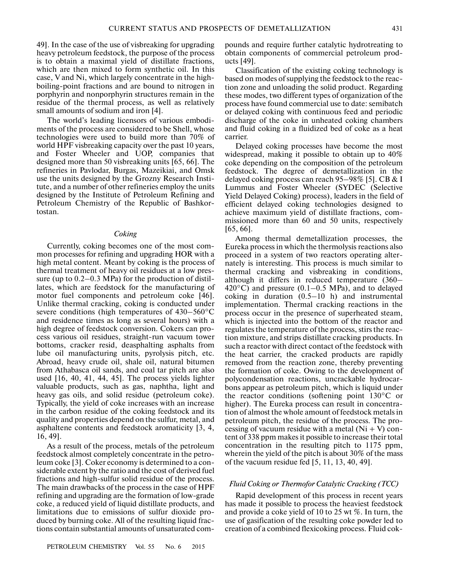49]. In the case of the use of visbreaking for upgrading heavy petroleum feedstock, the purpose of the process is to obtain a maximal yield of distillate fractions, which are then mixed to form synthetic oil. In this case, V and Ni, which largely concentrate in the high boiling-point fractions and are bound to nitrogen in porphyrin and nonporphyrin structures remain in the residue of the thermal process, as well as relatively small amounts of sodium and iron [4].

The world's leading licensors of various embodi ments of the process are considered to be Shell, whose technologies were used to build more than 70% of world HPF visbreaking capacity over the past 10 years, and Foster Wheeler and UOP, companies that designed more than 50 visbreaking units [65, 66]. The refineries in Pavlodar, Burgas, Mazeikiai, and Omsk use the units designed by the Grozny Research Insti tute, and a number of other refineries employ the units designed by the Institute of Petroleum Refining and Petroleum Chemistry of the Republic of Bashkor tostan.

#### *Coking*

Currently, coking becomes one of the most common processes for refining and upgrading HOR with a high metal content. Meant by coking is the process of thermal treatment of heavy oil residues at a low pres sure (up to 0.2–0.3 MPa) for the production of distil lates, which are feedstock for the manufacturing of motor fuel components and petroleum coke [46]. Unlike thermal cracking, coking is conducted under severe conditions (high temperatures of 430–560°C and residence times as long as several hours) with a high degree of feedstock conversion. Cokers can pro cess various oil residues, straight-run vacuum tower bottoms, cracker resid, deasphalting asphalts from lube oil manufacturing units, pyrolysis pitch, etc. Abroad, heavy crude oil, shale oil, natural bitumen from Athabasca oil sands, and coal tar pitch are also used [16, 40, 41, 44, 45]. The process yields lighter valuable products, such as gas, naphtha, light and heavy gas oils, and solid residue (petroleum coke). Typically, the yield of coke increases with an increase in the carbon residue of the coking feedstock and its quality and properties depend on the sulfur, metal, and asphaltene contents and feedstock aromaticity [3, 4, 16, 49].

As a result of the process, metals of the petroleum feedstock almost completely concentrate in the petro leum coke [3]. Coker economy is determined to a con siderable extent by the ratio and the cost of derived fuel fractions and high-sulfur solid residue of the process. The main drawbacks of the process in the case of HPF refining and upgrading are the formation of low-grade coke, a reduced yield of liquid distillate products, and limitations due to emissions of sulfur dioxide pro duced by burning coke. All of the resulting liquid frac tions contain substantial amounts of unsaturated com-

pounds and require further catalytic hydrotreating to obtain components of commercial petroleum prod ucts [49].

Classification of the existing coking technology is based on modes of supplying the feedstock to the reac tion zone and unloading the solid product. Regarding these modes, two different types of organization of the process have found commercial use to date: semibatch or delayed coking with continuous feed and periodic discharge of the coke in unheated coking chambers and fluid coking in a fluidized bed of coke as a heat carrier.

Delayed coking processes have become the most widespread, making it possible to obtain up to 40% coke depending on the composition of the petroleum feedstock. The degree of demetallization in the delayed coking process can reach 95–98% [5]. CB & I Lummus and Foster Wheeler (SYDEC (Selective Yield Delayed Coking) process), leaders in the field of efficient delayed coking technologies designed to achieve maximum yield of distillate fractions, com missioned more than 60 and 50 units, respectively [65, 66].

Among thermal demetallization processes, the Eureka process in which the thermolysis reactions also proceed in a system of two reactors operating alter nately is interesting. This process is much similar to thermal cracking and visbreaking in conditions, although it differs in reduced temperature (360– 420 $^{\circ}$ C) and pressure (0.1–0.5 MPa), and to delayed coking in duration (0.5–10 h) and instrumental implementation. Thermal cracking reactions in the process occur in the presence of superheated steam, which is injected into the bottom of the reactor and regulates the temperature of the process, stirs the reac tion mixture, and strips distillate cracking products. In such a reactor with direct contact of the feedstock with the heat carrier, the cracked products are rapidly removed from the reaction zone, thereby preventing the formation of coke. Owing to the development of polycondensation reactions, uncrackable hydrocar bons appear as petroleum pitch, which is liquid under the reactor conditions (softening point 130°C or higher). The Eureka process can result in concentra tion of almost the whole amount of feedstock metals in petroleum pitch, the residue of the process. The pro cessing of vacuum residue with a metal  $(Ni + V)$  content of 338 ppm makes it possible to increase their total concentration in the resulting pitch to 1175 ppm, wherein the yield of the pitch is about 30% of the mass of the vacuum residue fed [5, 11, 13, 40, 49].

## *Fluid Coking or Thermofor Catalytic Cracking (TCC)*

Rapid development of this process in recent years has made it possible to process the heaviest feedstock and provide a coke yield of 10 to 25 wt %. In turn, the use of gasification of the resulting coke powder led to creation of a combined flexicoking process. Fluid cok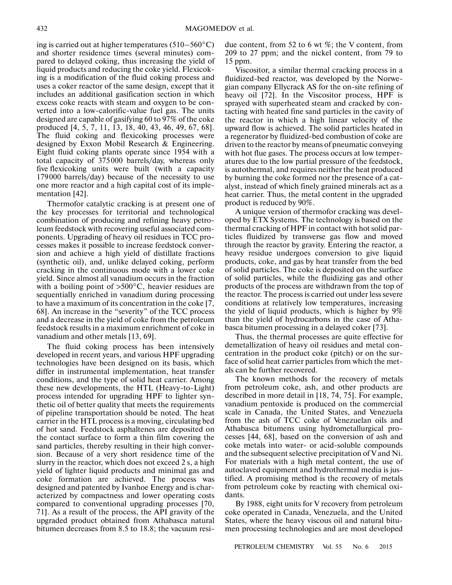ing is carried out at higher temperatures  $(510-560^{\circ}C)$ and shorter residence times (several minutes) com pared to delayed coking, thus increasing the yield of liquid products and reducing the coke yield. Flexicok ing is a modification of the fluid coking process and uses a coker reactor of the same design, except that it includes an additional gasification section in which excess coke reacts with steam and oxygen to be con verted into a low-calorific-value fuel gas. The units designed are capable of gasifying 60 to 97% of the coke produced [4, 5, 7, 11, 13, 18, 40, 43, 46, 49, 67, 68]. The fluid coking and flexicoking processes were designed by Exxon Mobil Research & Engineering. Eight fluid coking plants operate since 1954 with a total capacity of 375000 barrels/day, whereas only five flexicoking units were built (with a capacity 179000 barrels/day) because of the necessity to use one more reactor and a high capital cost of its imple mentation [42].

Thermofor catalytic cracking is at present one of the key processes for territorial and technological combination of producing and refining heavy petro leum feedstock with recovering useful associated com ponents. Upgrading of heavy oil residues in TCC pro cesses makes it possible to increase feedstock conver sion and achieve a high yield of distillate fractions (synthetic oil), and, unlike delayed coking, perform cracking in the continuous mode with a lower coke yield. Since almost all vanadium occurs in the fraction with a boiling point of  $>500^{\circ}$ C, heavier residues are sequentially enriched in vanadium during processing to have a maximum of its concentration in the coke [7, 68]. An increase in the "severity" of the TCC process and a decrease in the yield of coke from the petroleum feedstock results in a maximum enrichment of coke in vanadium and other metals [13, 69].

The fluid coking process has been intensively developed in recent years, and various HPF upgrading technologies have been designed on its basis, which differ in instrumental implementation, heat transfer conditions, and the type of solid heat carrier. Among these new developments, the HTL (Heavy-to-Light) process intended for upgrading HPF to lighter syn thetic oil of better quality that meets the requirements of pipeline transportation should be noted. The heat carrier in the HTL process is a moving, circulating bed of hot sand. Feedstock asphaltenes are deposited on the contact surface to form a thin film covering the sand particles, thereby resulting in their high conver sion. Because of a very short residence time of the slurry in the reactor, which does not exceed 2 s, a high yield of lighter liquid products and minimal gas and coke formation are achieved. The process was designed and patented by Ivanhoe Energy and is char acterized by compactness and lower operating costs compared to conventional upgrading processes [70, 71]. As a result of the process, the API gravity of the upgraded product obtained from Athabasca natural bitumen decreases from 8.5 to 18.8; the vacuum residue content, from 52 to 6 wt %; the V content, from 209 to 27 ppm; and the nickel content, from 79 to 15 ppm.

Viscositor, a similar thermal cracking process in a fluidized-bed reactor, was developed by the Norwe gian company Ellycrack AS for the on-site refining of heavy oil [72]. In the Viscositor process, HPF is sprayed with superheated steam and cracked by con tacting with heated fine sand particles in the cavity of the reactor in which a high linear velocity of the upward flow is achieved. The solid particles heated in a regenerator by fluidized-bed combustion of coke are driven to the reactor by means of pneumatic conveying with hot flue gases. The process occurs at low temper atures due to the low partial pressure of the feedstock, is autothermal, and requires neither the heat produced by burning the coke formed nor the presence of a cat alyst, instead of which finely grained minerals act as a heat carrier. Thus, the metal content in the upgraded product is reduced by 90%.

A unique version of thermofor cracking was devel oped by ETX Systems. The technology is based on the thermal cracking of HPF in contact with hot solid par ticles fluidized by transverse gas flow and moved through the reactor by gravity. Entering the reactor, a heavy residue undergoes conversion to give liquid products, coke, and gas by heat transfer from the bed of solid particles. The coke is deposited on the surface of solid particles, while the fluidizing gas and other products of the process are withdrawn from the top of the reactor. The process is carried out under less severe conditions at relatively low temperatures, increasing the yield of liquid products, which is higher by 9% than the yield of hydrocarbons in the case of Atha basca bitumen processing in a delayed coker [73].

Thus, the thermal processes are quite effective for demetallization of heavy oil residues and metal con centration in the product coke (pitch) or on the sur face of solid heat carrier particles from which the met als can be further recovered.

The known methods for the recovery of metals from petroleum coke, ash, and other products are described in more detail in [18, 74, 75]. For example, vanadium pentoxide is produced on the commercial scale in Canada, the United States, and Venezuela from the ash of TCC coke of Venezuelan oils and Athabasca bitumens using hydrometallurgical pro cesses [44, 68], based on the conversion of ash and coke metals into water- or acid-soluble compounds and the subsequent selective precipitation of V and Ni. For materials with a high metal content, the use of autoclaved equipment and hydrothermal media is jus tified. A promising method is the recovery of metals from petroleum coke by reacting with chemical oxi dants.

By 1988, eight units for V recovery from petroleum coke operated in Canada, Venezuela, and the United States, where the heavy viscous oil and natural bitu men processing technologies and are most developed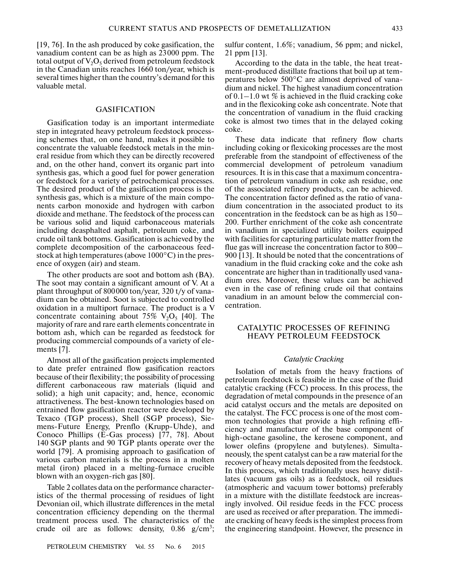[19, 76]. In the ash produced by coke gasification, the vanadium content can be as high as 23000 ppm. The total output of  $V_2O_5$  derived from petroleum feedstock in the Canadian units reaches 1660 ton/year, which is several times higher than the country's demand for this valuable metal.

# GASIFICATION

Gasification today is an important intermediate step in integrated heavy petroleum feedstock process ing schemes that, on one hand, makes it possible to concentrate the valuable feedstock metals in the min eral residue from which they can be directly recovered and, on the other hand, convert its organic part into synthesis gas, which a good fuel for power generation or feedstock for a variety of petrochemical processes. The desired product of the gasification process is the synthesis gas, which is a mixture of the main compo nents carbon monoxide and hydrogen with carbon dioxide and methane. The feedstock of the process can be various solid and liquid carbonaceous materials including deasphalted asphalt, petroleum coke, and crude oil tank bottoms. Gasification is achieved by the complete decomposition of the carbonaceous feed stock at high temperatures (above 1000°C) in the pres ence of oxygen (air) and steam.

The other products are soot and bottom ash (BA). The soot may contain a significant amount of V. At a plant throughput of 800000 ton/year, 320 t/y of vana dium can be obtained. Soot is subjected to controlled oxidation in a multiport furnace. The product is a V concentrate containing about  $75\%$  V<sub>2</sub>O<sub>5</sub> [40]. The majority of rare and rare earth elements concentrate in bottom ash, which can be regarded as feedstock for producing commercial compounds of a variety of ele ments [7].

Almost all of the gasification projects implemented to date prefer entrained flow gasification reactors because of their flexibility; the possibility of processing different carbonaceous raw materials (liquid and solid); a high unit capacity; and, hence, economic attractiveness. The best-known technologies based on entrained flow gasification reactor were developed by Texaco (TGP process), Shell (SGP process), Sie mens-Future Energy, Prenflo (Krupp-Uhde), and Conoco Phillips (E-Gas process) [77, 78]. About 140 SGP plants and 90 TGP plants operate over the world [79]. A promising approach to gasification of various carbon materials is the process in a molten metal (iron) placed in a melting-furnace crucible blown with an oxygen-rich gas [80].

Table 2 collates data on the performance character istics of the thermal processing of residues of light Devonian oil, which illustrate differences in the metal concentration efficiency depending on the thermal treatment process used. The characteristics of the crude oil are as follows: density,  $0.86$  g/cm<sup>3</sup>;

sulfur content, 1.6%; vanadium, 56 ppm; and nickel, 21 ppm [13].

According to the data in the table, the heat treat ment-produced distillate fractions that boil up at tem peratures below 500°C are almost deprived of vana dium and nickel. The highest vanadium concentration of  $0.1-1.0$  wt % is achieved in the fluid cracking coke and in the flexicoking coke ash concentrate. Note that the concentration of vanadium in the fluid cracking coke is almost two times that in the delayed coking coke.

These data indicate that refinery flow charts including coking or flexicoking processes are the most preferable from the standpoint of effectiveness of the commercial development of petroleum vanadium resources. It is in this case that a maximum concentra tion of petroleum vanadium in coke ash residue, one of the associated refinery products, can be achieved. The concentration factor defined as the ratio of vana dium concentration in the associated product to its concentration in the feedstock can be as high as 150– 200. Further enrichment of the coke ash concentrate in vanadium in specialized utility boilers equipped with facilities for capturing particulate matter from the flue gas will increase the concentration factor to 800– 900 [13]. It should be noted that the concentrations of vanadium in the fluid cracking coke and the coke ash concentrate are higher than in traditionally used vana dium ores. Moreover, these values can be achieved even in the case of refining crude oil that contains vanadium in an amount below the commercial con centration.

## CATALYTIC PROCESSES OF REFINING HEAVY PETROLEUM FEEDSTOCK

#### *Catalytic Cracking*

Isolation of metals from the heavy fractions of petroleum feedstock is feasible in the case of the fluid catalytic cracking (FCC) process. In this process, the degradation of metal compounds in the presence of an acid catalyst occurs and the metals are deposited on the catalyst. The FCC process is one of the most com mon technologies that provide a high refining effi ciency and manufacture of the base component of high-octane gasoline, the kerosene component, and lower olefins (propylene and butylenes). Simulta neously, the spent catalyst can be a raw material for the recovery of heavy metals deposited from the feedstock. In this process, which traditionally uses heavy distil lates (vacuum gas oils) as a feedstock, oil residues (atmospheric and vacuum tower bottoms) preferably in a mixture with the distillate feedstock are increas ingly involved. Oil residue feeds in the FCC process are used as received or after preparation. The immedi ate cracking of heavy feeds is the simplest process from the engineering standpoint. However, the presence in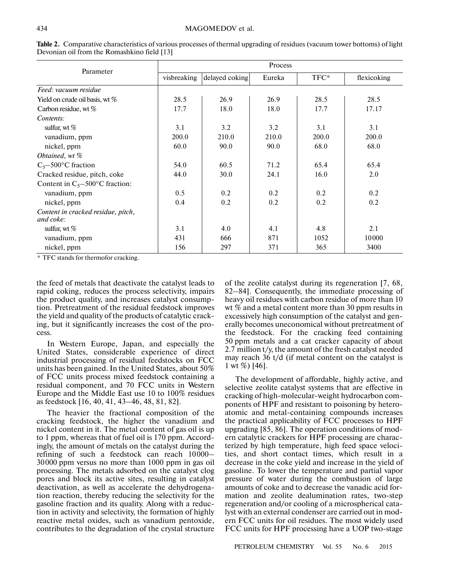| Parameter                                       | Process     |                |        |       |             |  |  |
|-------------------------------------------------|-------------|----------------|--------|-------|-------------|--|--|
|                                                 | visbreaking | delayed coking | Eureka | TFC*  | flexicoking |  |  |
| Feed: vacuum residue                            |             |                |        |       |             |  |  |
| Yield on crude oil basis, wt %                  | 28.5        | 26.9           | 26.9   | 28.5  | 28.5        |  |  |
| Carbon residue, wt %                            | 17.7        | 18.0           | 18.0   | 17.7  | 17.17       |  |  |
| Contents:                                       |             |                |        |       |             |  |  |
| sulfur, wt %                                    | 3.1         | 3.2            | 3.2    | 3.1   | 3.1         |  |  |
| vanadium, ppm                                   | 200.0       | 210.0          | 210.0  | 200.0 | 200.0       |  |  |
| nickel, ppm                                     | 60.0        | 90.0           | 90.0   | 68.0  | 68.0        |  |  |
| Obtained, wt %                                  |             |                |        |       |             |  |  |
| $C_5 - 500$ °C fraction                         | 54.0        | 60.5           | 71.2   | 65.4  | 65.4        |  |  |
| Cracked residue, pitch, coke                    | 44.0        | 30.0           | 24.1   | 16.0  | 2.0         |  |  |
| Content in $C_5 - 500$ °C fraction:             |             |                |        |       |             |  |  |
| vanadium, ppm                                   | 0.5         | 0.2            | 0.2    | 0.2   | 0.2         |  |  |
| nickel, ppm                                     | 0.4         | 0.2            | 0.2    | 0.2   | 0.2         |  |  |
| Content in cracked residue, pitch,<br>and coke: |             |                |        |       |             |  |  |
| sulfur, wt $\%$                                 | 3.1         | 4.0            | 4.1    | 4.8   | 2.1         |  |  |
| vanadium, ppm                                   | 431         | 666            | 871    | 1052  | 10000       |  |  |
| nickel, ppm                                     | 156         | 297            | 371    | 365   | 3400        |  |  |

**Table 2.** Comparative characteristics of various processes of thermal upgrading of residues (vacuum tower bottoms) of light Devonian oil from the Romashkino field [13]

\* TFC stands for thermofor cracking.

the feed of metals that deactivate the catalyst leads to rapid coking, reduces the process selectivity, impairs the product quality, and increases catalyst consump tion. Pretreatment of the residual feedstock improves the yield and quality of the products of catalytic crack ing, but it significantly increases the cost of the pro cess.

In Western Europe, Japan, and especially the United States, considerable experience of direct industrial processing of residual feedstocks on FCC units has been gained. In the United States, about 50% of FCC units process mixed feedstock containing a residual component, and 70 FCC units in Western Europe and the Middle East use 10 to 100% residues as feedstock [16, 40, 41, 43–46, 48, 81, 82].

The heavier the fractional composition of the cracking feedstock, the higher the vanadium and nickel content in it. The metal content of gas oil is up to 1 ppm, whereas that of fuel oil is 170 ppm. Accord ingly, the amount of metals on the catalyst during the refining of such a feedstock can reach 10000– 30000 ppm versus no more than 1000 ppm in gas oil processing. The metals adsorbed on the catalyst clog pores and block its active sites, resulting in catalyst deactivation, as well as accelerate the dehydrogena tion reaction, thereby reducing the selectivity for the gasoline fraction and its quality. Along with a reduc tion in activity and selectivity, the formation of highly reactive metal oxides, such as vanadium pentoxide, contributes to the degradation of the crystal structure of the zeolite catalyst during its regeneration [7, 68, 82–84]. Consequently, the immediate processing of heavy oil residues with carbon residue of more than 10 wt % and a metal content more than 30 ppm results in excessively high consumption of the catalyst and gen erally becomes uneconomical without pretreatment of the feedstock. For the cracking feed containing 50 ppm metals and a cat cracker capacity of about 2.7 million t/y, the amount of the fresh catalyst needed may reach 36 t/d (if metal content on the catalyst is 1 wt  $\%$ ) [46].

The development of affordable, highly active, and selective zeolite catalyst systems that are effective in cracking of high-molecular-weight hydrocarbon com ponents of HPF and resistant to poisoning by hetero atomic and metal-containing compounds increases the practical applicability of FCC processes to HPF upgrading [85, 86]. The operation conditions of mod ern catalytic crackers for HPF processing are charac terized by high temperature, high feed space veloci ties, and short contact times, which result in a decrease in the coke yield and increase in the yield of gasoline. To lower the temperature and partial vapor pressure of water during the combustion of large amounts of coke and to decrease the vanadic acid for mation and zeolite dealumination rates, two-step regeneration and/or cooling of a microspherical cata lyst with an external condenser are carried out in mod ern FCC units for oil residues. The most widely used FCC units for HPF processing have a UOP two-stage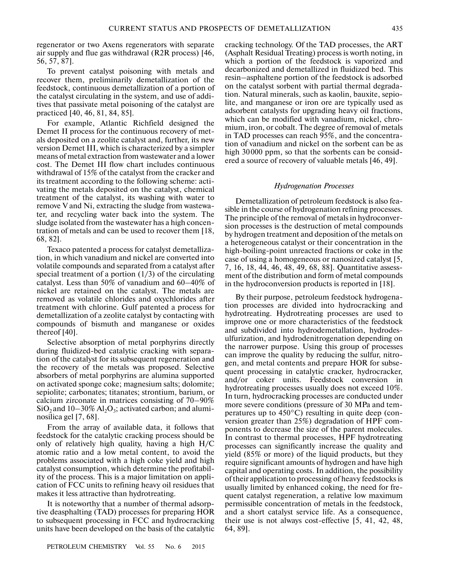regenerator or two Axens regenerators with separate air supply and flue gas withdrawal (R2R process) [46, 56, 57, 87].

To prevent catalyst poisoning with metals and recover them, preliminarily demetallization of the feedstock, continuous demetallization of a portion of the catalyst circulating in the system, and use of addi tives that passivate metal poisoning of the catalyst are practiced [40, 46, 81, 84, 85].

For example, Atlantic Richfield designed the Demet II process for the continuous recovery of met als deposited on a zeolite catalyst and, further, its new version Demet III, which is characterized by a simpler means of metal extraction from wastewater and a lower cost. The Demet III flow chart includes continuous withdrawal of 15% of the catalyst from the cracker and its treatment according to the following scheme: acti vating the metals deposited on the catalyst, chemical treatment of the catalyst, its washing with water to remove V and Ni, extracting the sludge from wastewa ter, and recycling water back into the system. The sludge isolated from the wastewater has a high concen tration of metals and can be used to recover them [18, 68, 82].

Texaco patented a process for catalyst demetalliza tion, in which vanadium and nickel are converted into volatile compounds and separated from a catalyst after special treatment of a portion  $(1/3)$  of the circulating catalyst. Less than 50% of vanadium and 60–40% of nickel are retained on the catalyst. The metals are removed as volatile chlorides and oxychlorides after treatment with chlorine. Gulf patented a process for demetallization of a zeolite catalyst by contacting with compounds of bismuth and manganese or oxides thereof [40].

Selective absorption of metal porphyrins directly during fluidized-bed catalytic cracking with separa tion of the catalyst for its subsequent regeneration and the recovery of the metals was proposed. Selective absorbers of metal porphyrins are alumina supported on activated sponge coke; magnesium salts; dolomite; sepiolite; carbonates; titanates; strontium, barium, or calcium zirconate in matrices consisting of 70–90%  $SiO<sub>2</sub>$  and  $10-30\%$  Al<sub>2</sub>O<sub>3</sub>; activated carbon; and aluminosilica gel [7, 68].

From the array of available data, it follows that feedstock for the catalytic cracking process should be only of relatively high quality, having a high H/C atomic ratio and a low metal content, to avoid the problems associated with a high coke yield and high catalyst consumption, which determine the profitabil ity of the process. This is a major limitation on appli cation of FCC units to refining heavy oil residues that makes it less attractive than hydrotreating.

It is noteworthy that a number of thermal adsorp tive deasphalting (TAD) processes for preparing HOR to subsequent processing in FCC and hydrocracking units have been developed on the basis of the catalytic cracking technology. Of the TAD processes, the ART (Asphalt Residual Treating) process is worth noting, in which a portion of the feedstock is vaporized and decarbonized and demetallized in fluidized bed. This resin–asphaltene portion of the feedstock is adsorbed on the catalyst sorbent with partial thermal degrada tion. Natural minerals, such as kaolin, bauxite, sepio lite, and manganese or iron ore are typically used as adsorbent catalysts for upgrading heavy oil fractions, which can be modified with vanadium, nickel, chro mium, iron, or cobalt. The degree of removal of metals in TAD processes can reach 95%, and the concentra tion of vanadium and nickel on the sorbent can be as high 30000 ppm, so that the sorbents can be consid ered a source of recovery of valuable metals [46, 49].

#### *Hydrogenation Processes*

Demetallization of petroleum feedstock is also fea sible in the course of hydrogenation refining processes. The principle of the removal of metals in hydroconver sion processes is the destruction of metal compounds by hydrogen treatment and deposition of the metals on a heterogeneous catalyst or their concentration in the high-boiling-point unreacted fractions or coke in the case of using a homogeneous or nanosized catalyst [5, 7, 16, 18, 44, 46, 48, 49, 68, 88]. Quantitative assess ment of the distribution and form of metal compounds in the hydroconversion products is reported in [18].

By their purpose, petroleum feedstock hydrogena tion processes are divided into hydrocracking and hydrotreating. Hydrotreating processes are used to improve one or more characteristics of the feedstock and subdivided into hydrodemetallation, hydrodes ulfurization, and hydrodenitrogenation depending on the narrower purpose. Using this group of processes can improve the quality by reducing the sulfur, nitro gen, and metal contents and prepare HOR for subse quent processing in catalytic cracker, hydrocracker, and/or coker units. Feedstock conversion in hydrotreating processes usually does not exceed 10%. In turn, hydrocracking processes are conducted under more severe conditions (pressure of 30 MPa and tem peratures up to  $450^{\circ}$ C) resulting in quite deep (conversion greater than 25%) degradation of HPF com ponents to decrease the size of the parent molecules. In contrast to thermal processes, HPF hydrotreating processes can significantly increase the quality and yield (85% or more) of the liquid products, but they require significant amounts of hydrogen and have high capital and operating costs. In addition, the possibility of their application to processing of heavy feedstocks is usually limited by enhanced coking, the need for fre quent catalyst regeneration, a relative low maximum permissible concentration of metals in the feedstock, and a short catalyst service life. As a consequence, their use is not always cost-effective [5, 41, 42, 48, 64, 89].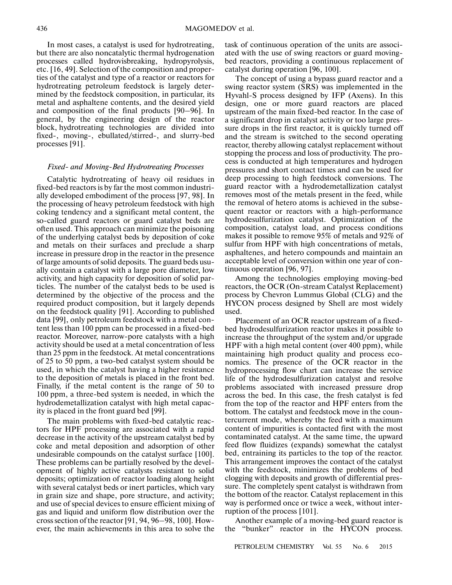In most cases, a catalyst is used for hydrotreating, but there are also noncatalytic thermal hydrogenation processes called hydrovisbreaking, hydropyrolysis, etc. [16, 49]. Selection of the composition and proper ties of the catalyst and type of a reactor or reactors for hydrotreating petroleum feedstock is largely deter mined by the feedstock composition, in particular, its metal and asphaltene contents, and the desired yield and composition of the final products [90–96]. In general, by the engineering design of the reactor block, hydrotreating technologies are divided into fixed-, moving-, ebullated/stirred-, and slurry-bed processes [91].

# *Fixed- and Moving-Bed Hydrotreating Processes*

Catalytic hydrotreating of heavy oil residues in fixed-bed reactors is by far the most common industri ally developed embodiment of the process [97, 98]. In the processing of heavy petroleum feedstock with high coking tendency and a significant metal content, the so-called guard reactors or guard catalyst beds are often used. This approach can minimize the poisoning of the underlying catalyst beds by deposition of coke and metals on their surfaces and preclude a sharp increase in pressure drop in the reactor in the presence of large amounts of solid deposits. The guard beds usu ally contain a catalyst with a large pore diameter, low activity, and high capacity for deposition of solid par ticles. The number of the catalyst beds to be used is determined by the objective of the process and the required product composition, but it largely depends on the feedstock quality [91]. According to published data [99], only petroleum feedstock with a metal con tent less than 100 ppm can be processed in a fixed-bed reactor. Moreover, narrow-pore catalysts with a high activity should be used at a metal concentration of less than 25 ppm in the feedstock. At metal concentrations of 25 to 50 ppm, a two-bed catalyst system should be used, in which the catalyst having a higher resistance to the deposition of metals is placed in the front bed. Finally, if the metal content is the range of 50 to 100 ppm, a three-bed system is needed, in which the hydrodemetallization catalyst with high metal capac ity is placed in the front guard bed [99].

The main problems with fixed-bed catalytic reac tors for HPF processing are associated with a rapid decrease in the activity of the upstream catalyst bed by coke and metal deposition and adsorption of other undesirable compounds on the catalyst surface [100]. These problems can be partially resolved by the devel opment of highly active catalysts resistant to solid deposits; optimization of reactor loading along height with several catalyst beds or inert particles, which vary in grain size and shape, pore structure, and activity; and use of special devices to ensure efficient mixing of gas and liquid and uniform flow distribution over the cross section of the reactor [91, 94, 96–98, 100]. How ever, the main achievements in this area to solve the

task of continuous operation of the units are associ ated with the use of swing reactors or guard moving bed reactors, providing a continuous replacement of catalyst during operation [96, 100].

The concept of using a bypass guard reactor and a swing reactor system (SRS) was implemented in the Hyvahl-S process designed by IFP (Axens). In this design, one or more guard reactors are placed upstream of the main fixed-bed reactor. In the case of a significant drop in catalyst activity or too large pres sure drops in the first reactor, it is quickly turned off and the stream is switched to the second operating reactor, thereby allowing catalyst replacement without stopping the process and loss of productivity. The pro cess is conducted at high temperatures and hydrogen pressures and short contact times and can be used for deep processing to high feedstock conversions. The guard reactor with a hydrodemetallization catalyst removes most of the metals present in the feed, while the removal of hetero atoms is achieved in the subsequent reactor or reactors with a high-performance hydrodesulfurization catalyst. Optimization of the composition, catalyst load, and process conditions makes it possible to remove 95% of metals and 92% of sulfur from HPF with high concentrations of metals, asphaltenes, and hetero compounds and maintain an acceptable level of conversion within one year of con tinuous operation [96, 97].

Among the technologies employing moving-bed reactors, the OCR (On-stream Catalyst Replacement) process by Chevron Lummus Global (CLG) and the HYCON process designed by Shell are most widely used.

Placement of an OCR reactor upstream of a fixed bed hydrodesulfurization reactor makes it possible to increase the throughput of the system and/or upgrade HPF with a high metal content (over 400 ppm), while maintaining high product quality and process eco nomics. The presence of the OCR reactor in the hydroprocessing flow chart can increase the service life of the hydrodesulfurization catalyst and resolve problems associated with increased pressure drop across the bed. In this case, the fresh catalyst is fed from the top of the reactor and HPF enters from the bottom. The catalyst and feedstock move in the coun tercurrent mode, whereby the feed with a maximum content of impurities is contacted first with the most contaminated catalyst. At the same time, the upward feed flow fluidizes (expands) somewhat the catalyst bed, entraining its particles to the top of the reactor. This arrangement improves the contact of the catalyst with the feedstock, minimizes the problems of bed clogging with deposits and growth of differential pres sure. The completely spent catalyst is withdrawn from the bottom of the reactor. Catalyst replacement in this way is performed once or twice a week, without inter ruption of the process [101].

Another example of a moving-bed guard reactor is the "bunker" reactor in the HYCON process.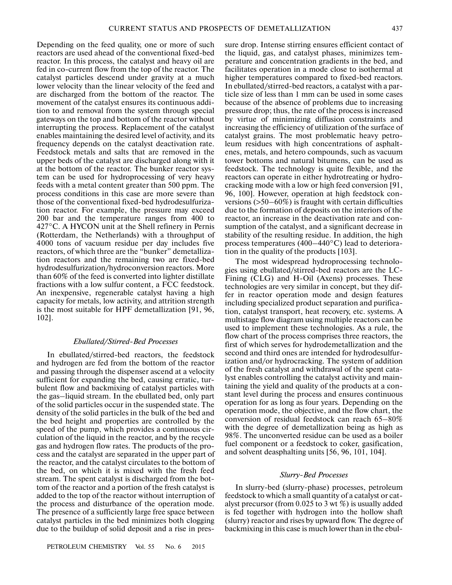Depending on the feed quality, one or more of such reactors are used ahead of the conventional fixed-bed reactor. In this process, the catalyst and heavy oil are fed in co-current flow from the top of the reactor. The catalyst particles descend under gravity at a much lower velocity than the linear velocity of the feed and are discharged from the bottom of the reactor. The movement of the catalyst ensures its continuous addi tion to and removal from the system through special gateways on the top and bottom of the reactor without interrupting the process. Replacement of the catalyst enables maintaining the desired level of activity, and its frequency depends on the catalyst deactivation rate. Feedstock metals and salts that are removed in the upper beds of the catalyst are discharged along with it at the bottom of the reactor. The bunker reactor sys tem can be used for hydroprocessing of very heavy feeds with a metal content greater than 500 ppm. The process conditions in this case are more severe than those of the conventional fixed-bed hydrodesulfuriza tion reactor. For example, the pressure may exceed 200 bar and the temperature ranges from 400 to 427°C. A HYCON unit at the Shell refinery in Pernis (Rotterdam, the Netherlands) with a throughput of 4000 tons of vacuum residue per day includes five reactors, of which three are the "bunker" demetalliza tion reactors and the remaining two are fixed-bed hydrodesulfurization/hydroconversion reactors. More than 60% of the feed is converted into lighter distillate fractions with a low sulfur content, a FCC feedstock. An inexpensive, regenerable catalyst having a high capacity for metals, low activity, and attrition strength is the most suitable for HPF demetallization [91, 96, 102].

# *Ebullated/Stirred-Bed Processes*

In ebullated/stirred-bed reactors, the feedstock and hydrogen are fed from the bottom of the reactor and passing through the dispenser ascend at a velocity sufficient for expanding the bed, causing erratic, tur bulent flow and backmixing of catalyst particles with the gas–liquid stream. In the ebullated bed, only part of the solid particles occur in the suspended state. The density of the solid particles in the bulk of the bed and the bed height and properties are controlled by the speed of the pump, which provides a continuous cir culation of the liquid in the reactor, and by the recycle gas and hydrogen flow rates. The products of the pro cess and the catalyst are separated in the upper part of the reactor, and the catalyst circulates to the bottom of the bed, on which it is mixed with the fresh feed stream. The spent catalyst is discharged from the bot tom of the reactor and a portion of the fresh catalyst is added to the top of the reactor without interruption of the process and disturbance of the operation mode. The presence of a sufficiently large free space between catalyst particles in the bed minimizes both clogging due to the buildup of solid deposit and a rise in pressure drop. Intense stirring ensures efficient contact of the liquid, gas, and catalyst phases, minimizes tem perature and concentration gradients in the bed, and facilitates operation in a mode close to isothermal at higher temperatures compared to fixed-bed reactors. In ebullated/stirred-bed reactors, a catalyst with a par ticle size of less than 1 mm can be used in some cases because of the absence of problems due to increasing pressure drop; thus, the rate of the process is increased by virtue of minimizing diffusion constraints and increasing the efficiency of utilization of the surface of catalyst grains. The most problematic heavy petro leum residues with high concentrations of asphalt enes, metals, and hetero compounds, such as vacuum tower bottoms and natural bitumens, can be used as feedstock. The technology is quite flexible, and the reactors can operate in either hydrotreating or hydro cracking mode with a low or high feed conversion [91, 96, 100]. However, operation at high feedstock con versions  $($ >50–60%) is fraught with certain difficulties due to the formation of deposits on the interiors of the reactor, an increase in the deactivation rate and con sumption of the catalyst, and a significant decrease in stability of the resulting residue. In addition, the high process temperatures (400–440°C) lead to deteriora tion in the quality of the products [103].

The most widespread hydroprocessing technolo gies using ebullated/stirred-bed reactors are the LC- Fining (CLG) and H-Oil (Axens) processes. These technologies are very similar in concept, but they dif fer in reactor operation mode and design features including specialized product separation and purifica tion, catalyst transport, heat recovery, etc. systems. A multistage flow diagram using multiple reactors can be used to implement these technologies. As a rule, the flow chart of the process comprises three reactors, the first of which serves for hydrodemetallization and the second and third ones are intended for hydrodesulfur ization and/or hydrocracking. The system of addition of the fresh catalyst and withdrawal of the spent cata lyst enables controlling the catalyst activity and main taining the yield and quality of the products at a con stant level during the process and ensures continuous operation for as long as four years. Depending on the operation mode, the objective, and the flow chart, the conversion of residual feedstock can reach 65–80% with the degree of demetallization being as high as 98%. The unconverted residue can be used as a boiler fuel component or a feedstock to coker, gasification, and solvent deasphalting units [56, 96, 101, 104].

# *Slurry-Bed Processes*

In slurry-bed (slurry-phase) processes, petroleum feedstock to which a small quantity of a catalyst or cat alyst precursor (from 0.025 to 3 wt %) is usually added is fed together with hydrogen into the hollow shaft (slurry) reactor and rises by upward flow. The degree of backmixing in this case is much lower than in the ebul-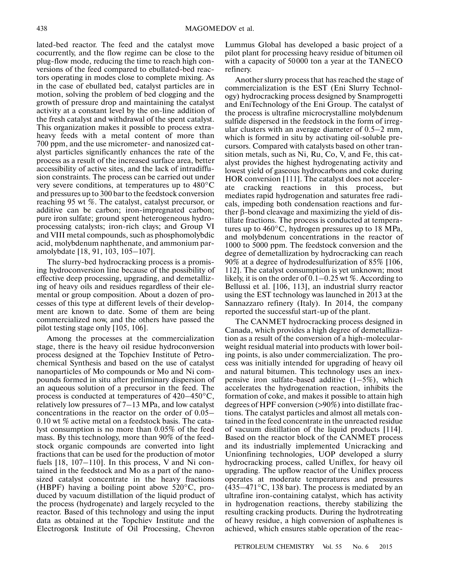lated-bed reactor. The feed and the catalyst move cocurrently, and the flow regime can be close to the plug-flow mode, reducing the time to reach high con versions of the feed compared to ebullated-bed reac tors operating in modes close to complete mixing. As in the case of ebullated bed, catalyst particles are in motion, solving the problem of bed clogging and the growth of pressure drop and maintaining the catalyst activity at a constant level by the on-line addition of the fresh catalyst and withdrawal of the spent catalyst. This organization makes it possible to process extra heavy feeds with a metal content of more than 700 ppm, and the use micrometer- and nanosized cat alyst particles significantly enhances the rate of the process as a result of the increased surface area, better accessibility of active sites, and the lack of intradiffu sion constraints. The process can be carried out under very severe conditions, at temperatures up to 480°C and pressures up to 300 bar to the feedstock conversion reaching 95 wt %. The catalyst, catalyst precursor, or additive can be carbon; iron-impregnated carbon; pure iron sulfate; ground spent heterogeneous hydro processing catalysts; iron-rich clays; and Group VI and VIII metal compounds, such as phosphomolybdic acid, molybdenum naphthenate, and ammonium par amolybdate [18, 91, 103, 105–107].

The slurry-bed hydrocracking process is a promis ing hydroconversion line because of the possibility of effective deep processing, upgrading, and demetalliz ing of heavy oils and residues regardless of their ele mental or group composition. About a dozen of pro cesses of this type at different levels of their develop ment are known to date. Some of them are being commercialized now, and the others have passed the pilot testing stage only [105, 106].

Among the processes at the commercialization stage, there is the heavy oil residue hydroconversion process designed at the Topchiev Institute of Petro chemical Synthesis and based on the use of catalyst nanoparticles of Mo compounds or Mo and Ni com pounds formed in situ after preliminary dispersion of an aqueous solution of a precursor in the feed. The process is conducted at temperatures of 420–450°C, relatively low pressures of 7–13 MPa, and low catalyst concentrations in the reactor on the order of 0.05– 0.10 wt % active metal on a feedstock basis. The catalyst consumption is no more than 0.05% of the feed mass. By this technology, more than 90% of the feed stock organic compounds are converted into light fractions that can be used for the production of motor fuels [18, 107-110]. In this process, V and Ni contained in the feedstock and Mo as a part of the nano sized catalyst concentrate in the heavy fractions (HBPF) having a boiling point above 520°C, pro duced by vacuum distillation of the liquid product of the process (hydrogenate) and largely recycled to the reactor. Based of this technology and using the input data as obtained at the Topchiev Institute and the Electrogorsk Institute of Oil Processing, Chevron

Lummus Global has developed a basic project of a pilot plant for processing heavy residue of bitumen oil with a capacity of 50000 ton a year at the TANECO refinery.

Another slurry process that has reached the stage of commercialization is the EST (Eni Slurry Technol ogy) hydrocracking process designed by Snamprogetti and EniTechnology of the Eni Group. The catalyst of the process is ultrafine microcrystalline molybdenum sulfide dispersed in the feedstock in the form of irreg ular clusters with an average diameter of 0.5–2 mm, which is formed in situ by activating oil-soluble pre cursors. Compared with catalysts based on other tran sition metals, such as Ni, Ru, Co, V, and Fe, this cat alyst provides the highest hydrogenating activity and lowest yield of gaseous hydrocarbons and coke during HOR conversion [111]. The catalyst does not acceler ate cracking reactions in this process, but mediates rapid hydrogenation and saturates free radi cals, impeding both condensation reactions and fur ther β-bond cleavage and maximizing the yield of dis tillate fractions. The process is conducted at tempera tures up to 460°C, hydrogen pressures up to 18 MPa, and molybdenum concentrations in the reactor of 1000 to 5000 ppm. The feedstock conversion and the degree of demetallization by hydrocracking can reach 90% at a degree of hydrodesulfurization of 85% [106, 112]. The catalyst consumption is yet unknown; most likely, it is on the order of 0.1–0.25 wt %. According to Bellussi et al. [106, 113], an industrial slurry reactor using the EST technology was launched in 2013 at the Sannazzaro refinery (Italy). In 2014, the company reported the successful start-up of the plant.

The CANMET hydrocracking process designed in Canada, which provides a high degree of demetalliza tion as a result of the conversion of a high-molecular weight residual material into products with lower boil ing points, is also under commercialization. The pro cess was initially intended for upgrading of heavy oil and natural bitumen. This technology uses an inex pensive iron sulfate-based additive (1–5%), which accelerates the hydrogenation reaction, inhibits the formation of coke, and makes it possible to attain high degrees of HPF conversion (>90%) into distillate frac tions. The catalyst particles and almost all metals con tained in the feed concentrate in the unreacted residue of vacuum distillation of the liquid products [114]. Based on the reactor block of the CANMET process and its industrially implemented Unicracking and Unionfining technologies, UOP developed a slurry hydrocracking process, called Uniflex, for heavy oil upgrading. The upflow reactor of the Uniflex process operates at moderate temperatures and pressures  $(435-471^{\circ}C, 138 \text{ bar})$ . The process is mediated by an ultrafine iron-containing catalyst, which has activity in hydrogenation reactions, thereby stabilizing the resulting cracking products. During the hydrotreating of heavy residue, a high conversion of asphaltenes is achieved, which ensures stable operation of the reac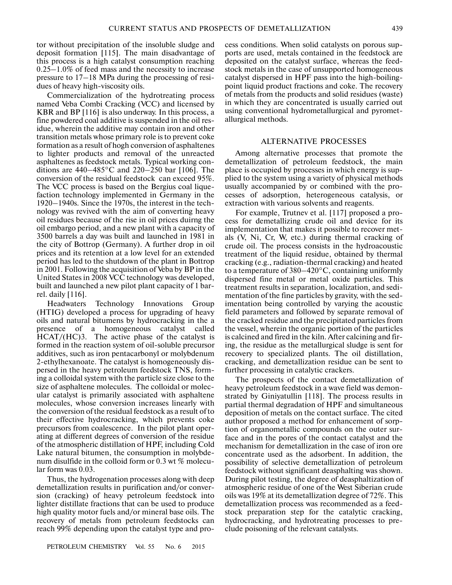tor without precipitation of the insoluble sludge and deposit formation [115]. The main disadvantage of this process is a high catalyst consumption reaching 0.25–1.0% of feed mass and the necessity to increase pressure to 17–18 MPa during the processing of resi dues of heavy high-viscosity oils.

Commercialization of the hydrotreating process named Veba Combi Cracking (VCC) and licensed by KBR and BP [116] is also underway. In this process, a fine powdered coal additive is suspended in the oil res idue, wherein the additive may contain iron and other transition metals whose primary role is to prevent coke formation as a result of hogh conversion of asphaltenes to lighter products and removal of the unreacted asphaltenes as feedstock metals. Typical working con ditions are 440–485°C and 220–250 bar [106]. The conversion of the residual feedstock can exceed 95%. The VCC process is based on the Bergius coal lique faction technology implemented in Germany in the 1920–1940s. Since the 1970s, the interest in the tech nology was revived with the aim of converting heavy oil residues because of the rise in oil prices duirng the oil embargo period, and a new plant with a capacity of 3500 barrels a day was built and launched in 1981 in the city of Bottrop (Germany). A further drop in oil prices and its retention at a low level for an extended period has led to the shutdown of the plant in Bottrop in 2001. Following the acquisition of Veba by BP in the United States in 2008 VCC technology was developed, built and launched a new pilot plant capacity of 1 bar rel. daily [116].

Headwaters Technology Innovations Group (HTIG) developed a process for upgrading of heavy oils and natural bitumens by hydrocracking in the a presence of a homogeneous catalyst called HCAT/(HC)3. The active phase of the catalyst is formed in the reaction system of oil-soluble precursor additives, such as iron pentacarbonyl or molybdenum 2-ethylhexanoate. The catalyst is homogeneously dis persed in the heavy petroleum feedstock TNS, form ing a colloidal system with the particle size close to the size of asphaltene molecules. The colloidal or molec ular catalyst is primarily associated with asphaltene molecules, whose conversion increases linearly with the conversion of the residual feedstock as a result of to their effective hydrocracking, which prevents coke precursors from coalescence. In the pilot plant oper ating at different degrees of conversion of the residue of the atmospheric distillation of HPF, including Cold Lake natural bitumen, the consumption in molybde num disulfide in the colloid form or 0.3 wt % molecu lar form was 0.03.

Thus, the hydrogenation processes along with deep demetallization results in purification and/or conver sion (cracking) of heavy petroleum feedstock into lighter distillate fractions that can be used to produce high quality motor fuels and/or mineral base oils. The recovery of metals from petroleum feedstocks can reach 99% depending upon the catalyst type and pro-

cess conditions. When solid catalysts on porous sup ports are used, metals contained in the feedstock are deposited on the catalyst surface, whereas the feed stock metals in the case of unsupported homogeneous catalyst dispersed in HPF pass into the high-boiling point liquid product fractions and coke. The recovery of metals from the products and solid residues (waste) in which they are concentrated is usually carried out using conventional hydrometallurgical and pyromet allurgical methods.

## ALTERNATIVE PROCESSES

Among alternative processes that promote the demetallization of petroleum feedstock, the main place is occupied by processes in which energy is sup plied to the system using a variety of physical methods usually accompanied by or combined with the pro cesses of adsorption, heterogeneous catalysis, or extraction with various solvents and reagents.

For example, Trutnev et al. [117] proposed a pro cess for demetallizing crude oil and device for its implementation that makes it possible to recover met als (V, Ni, Cr, W, etc.) during thermal cracking of crude oil. The process consists in the hydroacoustic treatment of the liquid residue, obtained by thermal cracking (e.g., radiation-thermal cracking) and heated to a temperature of 380–420°C, containing uniformly dispersed fine metal or metal oxide particles. This treatment results in separation, localization, and sedi mentation of the fine particles by gravity, with the sed imentation being controlled by varying the acoustic field parameters and followed by separate removal of the cracked residue and the precipitated particles from the vessel, wherein the organic portion of the particles is calcined and fired in the kiln. After calcining and fir ing, the residue as the metallurgical sludge is sent for recovery to specialized plants. The oil distillation, cracking, and demetallization residue can be sent to further processing in catalytic crackers.

The prospects of the contact demetallization of heavy petroleum feedstock in a wave field was demon strated by Giniyatullin [118]. The process results in partial thermal degradation of HPF and simultaneous deposition of metals on the contact surface. The cited author proposed a method for enhancement of sorp tion of organometallic compounds on the outer sur face and in the pores of the contact catalyst and the mechanism for demetallization in the case of iron ore concentrate used as the adsorbent. In addition, the possibility of selective demetallization of petroleum feedstock without significant deasphalting was shown. During pilot testing, the degree of deasphaltization of atmospheric residue of one of the West Siberian crude oils was 19% at its demetallization degree of 72%. This demetallization process was recommended as a feed stock preparation step for the catalytic cracking, hydrocracking, and hydrotreating processes to pre clude poisoning of the relevant catalysts.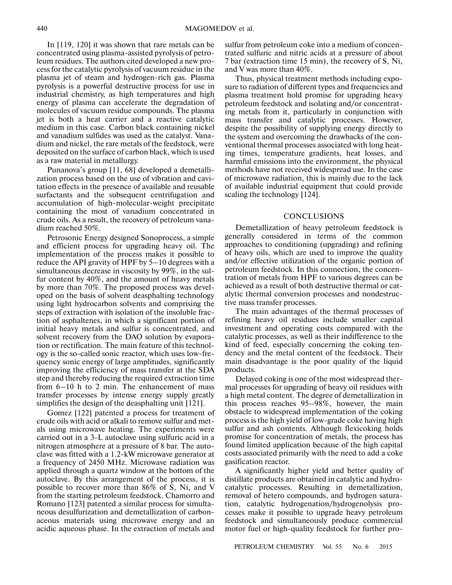In [119, 120] it was shown that rare metals can be concentrated using plasma-assisted pyrolysis of petro leum residues. The authors cited developed a new pro cess for the catalytic pyrolysis of vacuum residue in the plasma jet of steam and hydrogen-rich gas. Plasma pyrolysis is a powerful destructive process for use in industrial chemistry, as high temperatures and high energy of plasma can accelerate the degradation of molecules of vacuum residue compounds. The plasma jet is both a heat carrier and a reactive catalytic medium in this case. Carbon black containing nickel and vanadium sulfides was used as the catalyst. Vana dium and nickel, the rare metals of the feedstock, were deposited on the surface of carbon black, which is used as a raw material in metallurgy.

Punanova's group [11, 68] developed a demetalli zation process based on the use of vibration and cavi tation effects in the presence of available and reusable surfactants and the subsequent centrifugation and accumulation of high-molecular-weight precipitate containing the most of vanadium concentrated in crude oils. As a result, the recovery of petroleum vana dium reached 50%.

Petrosonic Energy designed Sonoprocess, a simple and efficient process for upgrading heavy oil. The implementation of the process makes it possible to reduce the API gravity of HPF by 5–10 degrees with a simultaneous decrease in viscosity by 99%, in the sul fur content by 40%, and the amount of heavy metals by more than 70%. The proposed process was devel oped on the basis of solvent deasphalting technology using light hydrocarbon solvents and comprising the steps of extraction with isolation of the insoluble frac tion of asphaltenes, in which a significant portion of initial heavy metals and sulfur is concentrated, and solvent recovery from the DAO solution by evapora tion or rectification. The main feature of this technol ogy is the so-called sonic reactor, which uses low-fre quency sonic energy of large amplitudes, significantly improving the efficiency of mass transfer at the SDA step and thereby reducing the required extraction time from 6–10 h to 2 min. The enhancement of mass transfer processes by intense energy supply greatly simplifies the design of the deasphalting unit [121].

Gomez [122] patented a process for treatment of crude oils with acid or alkali to remove sulfur and met als using microwave heating. The experiments were carried out in a 3-L autoclave using sulfuric acid in a nitrogen atmosphere at a pressure of 8 bar. The auto clave was fitted with a 1.2-kW microwave generator at a frequency of 2450 MHz. Microwave radiation was applied through a quartz window at the bottom of the autoclave. By this arrangement of the process, it is possible to recover more than 86% of S, Ni, and V from the starting petroleum feedstock. Chamorro and Romano [123] patented a similar process for simulta neous desulfurization and demetallization of carbon aceous materials using microwave energy and an acidic aqueous phase. In the extraction of metals and

sulfur from petroleum coke into a medium of concen trated sulfuric and nitric acids at a pressure of about 7 bar (extraction time 15 min), the recovery of S, Ni, and V was more than 40%.

Thus, physical treatment methods including expo sure to radiation of different types and frequencies and plasma treatment hold promise for upgrading heavy petroleum feedstock and isolating and/or concentrat ing metals from it, particularly in conjunction with mass transfer and catalytic processes. However, despite the possibility of supplying energy directly to the system and overcoming the drawbacks of the con ventional thermal processes associated with long heat ing times, temperature gradients, heat losses, and harmful emissions into the environment, the physical methods have not received widespread use. In the case of microwave radiation, this is mainly due to the lack of available industrial equipment that could provide scaling the technology [124].

## **CONCLUSIONS**

Demetallization of heavy petroleum feedstock is generally considered in terms of the common approaches to conditioning (upgrading) and refining of heavy oils, which are used to improve the quality and/or effective utilization of the organic portion of petroleum feedstock. In this connection, the concen tration of metals from HPF to various degrees can be achieved as a result of both destructive thermal or cat alytic thermal conversion processes and nondestruc tive mass transfer processes.

The main advantages of the thermal processes of refining heavy oil residues include smaller capital investment and operating costs compared with the catalytic processes, as well as their indifference to the kind of feed, especially concerning the coking ten dency and the metal content of the feedstock. Their main disadvantage is the poor quality of the liquid products.

Delayed coking is one of the most widespread ther mal processes for upgrading of heavy oil residues with a high metal content. The degree of demetallization in this process reaches 95–98%, however, the main obstacle to widespread implementation of the coking process is the high yield of low-grade coke having high sulfur and ash contents. Although flexicoking holds promise for concentration of metals, the process has found limited application because of the high capital costs associated primarily with the need to add a coke gasification reactor.

A significantly higher yield and better quality of distillate products are obtained in catalytic and hydro catalytic processes. Resulting in demetallization, removal of hetero compounds, and hydrogen satura tion, catalytic hydrogenation/hydrogenolysis pro cesses make it possible to upgrade heavy petroleum feedstock and simultaneously produce commercial motor fuel or high-quality feedstock for further pro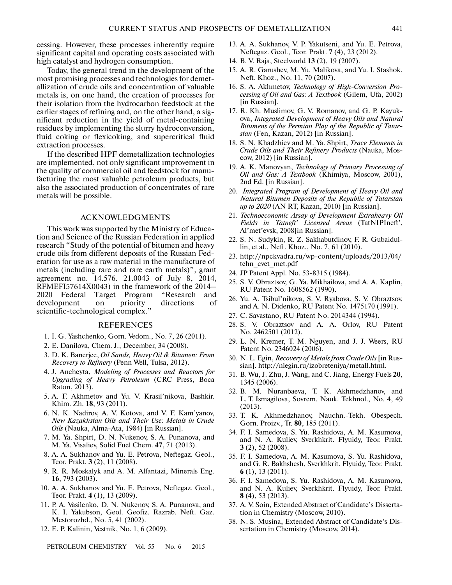cessing. However, these processes inherently require significant capital and operating costs associated with high catalyst and hydrogen consumption.

Today, the general trend in the development of the most promising processes and technologies for demet allization of crude oils and concentration of valuable metals is, on one hand, the creation of processes for their isolation from the hydrocarbon feedstock at the earlier stages of refining and, on the other hand, a sig nificant reduction in the yield of metal-containing residues by implementing the slurry hydroconversion, fluid coking or flexicoking, and supercritical fluid extraction processes.

If the described HPF demetallization technologies are implemented, not only significant improvement in the quality of commercial oil and feedstock for manu facturing the most valuable petroleum products, but also the associated production of concentrates of rare metals will be possible.

## ACKNOWLEDGMENTS

This work was supported by the Ministry of Educa tion and Science of the Russian Federation in applied research "Study of the potential of bitumen and heavy crude oils from different deposits of the Russian Fed eration for use as a raw material in the manufacture of metals (including rare and rare earth metals)", grant agreement no. 14.576. 21.0043 of July 8, 2014, RFMEFI57614X0043) in the framework of the 2014– 2020 Federal Target Program "Research and development on priority directions of scientific-technological complex."

#### REFERENCES

- 1. I. G. Yashchenko, Gorn. Vedom., No. 7, 26 (2011).
- 2. E. Danilova, Chem. J., December, 34 (2008).
- 3. D. K. Banerjee, *Oil Sands, Heavy Oil & Bitumen: From Recovery to Refinery* (Penn Well, Tulsa, 2012).
- 4. J. Ancheyta, *Modeling of Processes and Reactors for Upgrading of Heavy Petroleum* (CRC Press, Boca Raton, 2013).
- 5. A. F. Akhmetov and Yu. V. Krasil'nikova, Bashkir. Khim. Zh. **18**, 93 (2011).
- 6. N. K. Nadirov, A. V. Kotova, and V. F. Kam'yanov, *New Kazakhstan Oils and Their Use: Metals in Crude Oils* (Nauka, Alma-Ata, 1984) [in Russian].
- 7. M. Ya. Shpirt, D. N. Nukenov, S. A. Punanova, and M. Ya. Visaliev, Solid Fuel Chem. **47**, 71 (2013).
- 8. A. A. Sukhanov and Yu. E. Petrova, Neftegaz. Geol., Teor. Prakt. **3** (2), 11 (2008).
- 9. R. R. Moskalyk and A. M. Alfantazi, Minerals Eng. **16**, 793 (2003).
- 10. A. A. Sukhanov and Yu. E. Petrova, Neftegaz. Geol., Teor. Prakt. **4** (1), 13 (2009).
- 11. P. A. Vasilenko, D. N. Nukenov, S. A. Punanova, and K. I. Yakubson, Geol. Geofiz. Razrab. Neft. Gaz. Mestorozhd., No. 5, 41 (2002).
- 12. E. P. Kalinin, Vestnik, No. 1, 6 (2009).

PETROLEUM CHEMISTRY Vol. 55 No. 6 2015

- 13. A. A. Sukhanov, V. P. Yakutseni, and Yu. E. Petrova, Neftegaz. Geol., Teor. Prakt. **7** (4), 23 (2012).
- 14. B. V. Raja, Steelworld **13** (2), 19 (2007).
- 15. A. R. Garushev, M. Yu. Malikova, and Yu. I. Stashok, Neft. Khoz., No. 11, 70 (2007).
- 16. S. A. Akhmetov, *Technology of High-Conversion Pro cessing of Oil and Gas: A Textbook* (Gilem, Ufa, 2002) [in Russian].
- 17. R. Kh. Muslimov, G. V. Romanov, and G. P. Kayuk ova, *Integrated Development of Heavy Oils and Natural Bitumens of the Permian Play of the Republic of Tatar stan* (Fen, Kazan, 2012) [in Russian].
- 18. S. N. Khadzhiev and M. Ya. Shpirt, *Trace Elements in Crude Oils and Their Refinery Products* (Nauka, Mos cow, 2012) [in Russian].
- 19. A. K. Manovyan, *Technology of Primary Processing of Oil and Gas: A Textbook* (Khimiya, Moscow, 2001), 2nd Ed. [in Russian].
- 20. *Integrated Program of Development of Heavy Oil and Natural Bitumen Deposits of the Republic of Tatarstan up to 2020* (AN RT, Kazan, 2010) [in Russian].
- 21. *Technoeconomic Assay of Development Extraheavy Oil Fields in Tatneft' Licensed Areas* (TatNIPIneft', Al'met'evsk, 2008[in Russian].
- 22. S. N. Sudykin, R. Z. Sakhabutdinov, F. R. Gubaidul lin, et al., Neft. Khoz., No. 7, 61 (2010).
- 23. http://npckvadra.ru/wp-content/uploads/2013/04/ tehn\_cvet\_met.pdf
- 24. JP Patent Appl. No. 53-8315 (1984).
- 25. S. V. Obraztsov, G. Ya. Mikhailova, and A. A. Kaplin, RU Patent No. 1608562 (1990).
- 26. Yu. A. Tsibul'nikova, S. V. Ryabova, S. V. Obraztsov, and A. N. Didenko, RU Patent No. 1475170 (1991).
- 27. C. Savastano, RU Patent No. 2014344 (1994).
- 28. S. V. Obraztsov and A. A. Orlov, RU Patent No. 2462501 (2012).
- 29. L. N. Kremer, T. M. Nguyen, and J. J. Weers, RU Patent No. 2346024 (2006).
- 30. N. L. Egin, *Recovery of Metals from Crude Oils* [in Rus sian]. http://nlegin.ru/izobreteniya/metall.html.
- 31. B. Wu, J. Zhu, J. Wang, and C. Jiang, Energy Fuels **20**, 1345 (2006).
- 32. B. M. Nuranbaeva, T. K. Akhmedzhanov, and L. T. Ismagilova, Sovrem. Nauk. Tekhnol., No. 4, 49 (2013).
- 33. T. K. Akhmedzhanov, Nauchn.-Tekh. Obespech. Gorn. Proizv., Tr. **80**, 185 (2011).
- 34. F. I. Samedova, S. Yu. Rashidova, A. M. Kasumova, and N. A. Kuliev, Sverkhkrit. Flyuidy, Teor. Prakt. **3** (2), 52 (2008).
- 35. F. I. Samedova, A. M. Kasumova, S. Yu. Rashidova, and G. R. Bakhshesh, Sverkhkrit. Flyuidy, Teor. Prakt. **6** (1), 13 (2011).
- 36. F. I. Samedova, S. Yu. Rashidova, A. M. Kasumova, and N. A. Kuliev, Sverkhkrit. Flyuidy, Teor. Prakt. **8** (4), 53 (2013).
- 37. A. V. Soin, Extended Abstract of Candidate's Disserta tion in Chemistry (Moscow, 2010).
- 38. N. S. Musina, Extended Abstract of Candidate's Dis sertation in Chemistry (Moscow, 2014).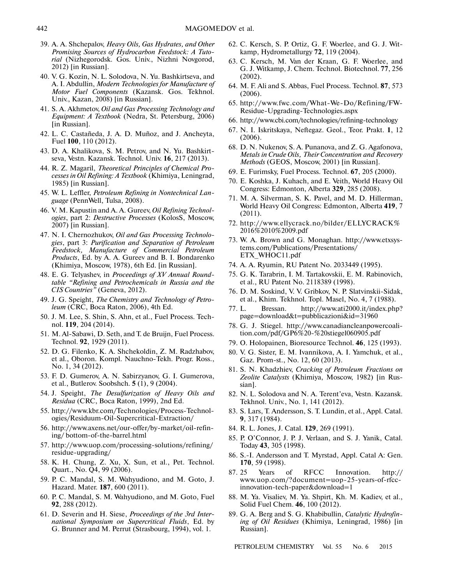- 39. A. A. Shchepalov, *Heavy Oils, Gas Hydrates, and Other Promising Sources of Hydrocarbon Feedstock: A Tuto rial* (Nizhegorodsk. Gos. Univ., Nizhni Novgorod, 2012) [in Russian].
- 40. V. G. Kozin, N. L. Solodova, N. Yu. Bashkirtseva, and A. I. Abdullin, *Modern Technologies for Manufacture of Motor Fuel Components* (Kazansk. Gos. Tekhnol. Univ., Kazan, 2008) [in Russian].
- 41. S. A. Akhmetov, *Oil and Gas Processing Technology and Equipment: A Textbook* (Nedra, St. Petersburg, 2006) [in Russian].
- 42. L. C. Castañeda, J. A. D. Muñoz, and J. Ancheyta, Fuel **100**, 110 (2012).
- 43. D. A. Khalikova, S. M. Petrov, and N. Yu. Bashkirt seva, Vestn. Kazansk. Technol. Univ. **16**, 217 (2013).
- 44. R. Z. Magaril, *Theoretical Principles of Chemical Pro cesses in Oil Refining: A Textbook* (Khimiya, Leningrad, 1985) [in Russian].
- 45. W. L. Leffler, *Petroleum Refining in Nontechnical Lan guage* (PennWell, Tulsa, 2008).
- 46. V. M. Kapustin and A. A. Gureev, *Oil Refining Technol ogies*, part 2: *Destructive Processes* (KolosS, Moscow, 2007) [in Russian].
- 47. N. I. Chernozhukov, *Oil and Gas Processing Technolo gies*, part 3: *Purification and Separation of Petroleum Feedstock, Manufacture of Commercial Petroleum Products*, Ed. by A. A. Gureev and B. I. Bondarenko (Khimiya, Moscow, 1978), 6th Ed. [in Russian].
- 48. E. G. Telyashev, in *Proceedings of XV Annual Round table "Refining and Petrochemicals in Russia and the CIS Countries"* (Geneva, 2012).
- 49. J. G. Speight, *The Chemistry and Technology of Petro leum* (CRC, Boca Raton, 2006), 4th Ed.
- 50. J. M. Lee, S. Shin, S. Ahn, et al., Fuel Process. Tech nol. **119**, 204 (2014).
- 51. M. Al-Sabawi, D. Seth, and T. de Bruijn, Fuel Process. Technol. **92**, 1929 (2011).
- 52. D. G. Filenko, K. A. Shchekoldin, Z. M. Radzhabov, et al., Oboron. Kompl. Nauchno-Tekh. Progr. Ross., No. 1, 34 (2012).
- 53. F. D. Gumerov, A. N. Sabirzyanov, G. I. Gumerova, et al., Butlerov. Soobshch. **5** (1), 9 (2004).
- 54. J. Speight, *The Desulfurization of Heavy Oils and Residua* (CRC, Boca Raton, 1999), 2nd Ed.
- 55. http://www.kbr.com/Technologies/Process-Technol ogies/Residuum-Oil-Supercritical-Extraction/
- 56. http://www.axens.net/our-offer/by-market/oil-refin ing/ bottom-of-the-barrel.html
- 57. http://www.uop.com/processing-solutions/refining/ residue-upgrading/
- 58. K. H. Chung, Z. Xu, X. Sun, et al., Pet. Technol. Quart., No. Q4, 99 (2006).
- 59. P. C. Mandal, S. M. Wahyudiono, and M. Goto, J. Hazard. Mater. **187**, 600 (2011).
- 60. P. C. Mandal, S. M. Wahyudiono, and M. Goto, Fuel **92**, 288 (2012).
- 61. D. Severin and H. Siese, *Proceedings of the 3rd Inter national Symposium on Supercritical Fluids*, Ed. by G. Brunner and M. Perrut (Strasbourg, 1994), vol. 1.
- 62. C. Kersch, S. P. Ortiz, G. F. Woerlee, and G. J. Wit kamp, Hydrometallurgy **72**, 119 (2004).
- 63. C. Kersch, M. Van der Kraan, G. F. Woerlee, and G. J. Witkamp, J. Chem. Technol. Biotechnol. **77**, 256 (2002).
- 64. M. F. Ali and S. Abbas, Fuel Process. Technol. **87**, 573 (2006).
- 65. http://www.fwc.com/What-We-Do/Refining/FW- Residue-Upgrading-Technologies.aspx
- 66. http://www.cbi.com/technologies/refining-technology
- 67. N. I. Iskritskaya, Neftegaz. Geol., Teor. Prakt. **1**, 12 (2006).
- 68. D. N. Nukenov, S. A. Punanova, and Z. G. Agafonova, *Metals in Crude Oils, Their Concentration and Recovery Methods* (GEOS, Moscow, 2001) [in Russian].
- 69. E. Furimsky, Fuel Process. Technol. **67**, 205 (2000).
- 70. E. Koshka, J. Kuhach, and E. Veith, World Heavy Oil Congress: Edmonton, Alberta **329**, 285 (2008).
- 71. M. A. Silverman, S. K. Pavel, and M. D. Hillerman, World Heavy Oil Congress: Edmonton, Alberta **419**, 7 (2011).
- 72. http://www.ellycrack.no/bilder/ELLYCRACK% 2016%2010%2009.pdf
- 73. W. A. Brown and G. Monaghan. http://www.etxsys tems.com/Publications/Presentations/ ETX\_WHOC11.pdf
- 74. A. A. Ryumin, RU Patent No. 2033449 (1995).
- 75. G. K. Tarabrin, I. M. Tartakovskii, E. M. Rabinovich, et al., RU Patent No. 2118389 (1998).
- 76. D. M. Soskind, V. V. Gribkov, N. P. Slatvinskii-Sidak, et al., Khim. Tekhnol. Topl. Masel, No. 4, 7 (1988).
- 77. L. Bressan. http://www.ati2000.it/index.php? page=download&t=pubblicazioni&id=31960
- 78. G. J. Stiegel. http://www.canadiancleanpowercoali tion.com/pdf/GP6%20-%20stiegel060905.pdf
- 79. O. Holopainen, Bioresource Technol. **46**, 125 (1993).
- 80. V. G. Sister, E. M. Ivannikova, A. I. Yamchuk, et al., Gaz. Prom-st., No. 12, 60 (2013).
- 81. S. N. Khadzhiev, *Cracking of Petroleum Fractions on Zeolite Catalysts* (Khimiya, Moscow, 1982) [in Rus sian].
- 82. N. L. Solodova and N. A. Terent'eva, Vestn. Kazansk. Tekhnol. Univ., No. 1, 141 (2012).
- 83. S. Lars, T. Andersson, S. T. Lundin, et al., Appl. Catal. **9**, 317 (1984).
- 84. R. L. Jones, J. Catal. **129**, 269 (1991).
- 85. P. O'Connor, J. P. J. Verlaan, and S. J. Yanik, Catal. Today **43**, 305 (1998).
- 86. S.-I. Andersson and T. Myrstad, Appl. Catal A: Gen. **170**, 59 (1998).
- 87. 25 Years of RFCC Innovation. http:// www.uop.com/?document=uop-25-years-of-rfcc innovation-tech-paper&download=1
- 88. M. Ya. Visaliev, M. Ya. Shpirt, Kh. M. Kadiev, et al., Solid Fuel Chem. **46**, 100 (2012).
- 89. G. A. Berg and S. G. Khabibullin, *Catalytic Hydrofin ing of Oil Residues* (Khimiya, Leningrad, 1986) [in Russian].

PETROLEUM CHEMISTRY Vol. 55 No. 6 2015